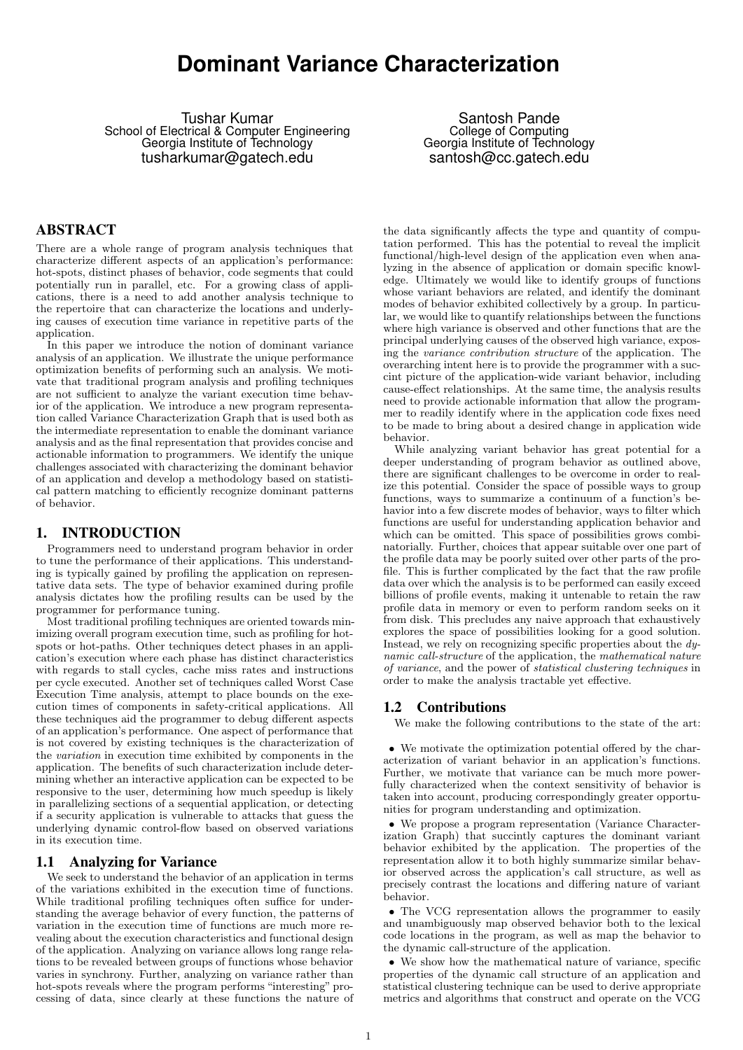# **Dominant Variance Characterization**

Tushar Kumar School of Electrical & Computer Engineering Georgia Institute of Technology tusharkumar@gatech.edu

Santosh Pande College of Computing Georgia Institute of Technology santosh@cc.gatech.edu

# ABSTRACT

There are a whole range of program analysis techniques that characterize different aspects of an application's performance: hot-spots, distinct phases of behavior, code segments that could potentially run in parallel, etc. For a growing class of applications, there is a need to add another analysis technique to the repertoire that can characterize the locations and underlying causes of execution time variance in repetitive parts of the application.

In this paper we introduce the notion of dominant variance analysis of an application. We illustrate the unique performance optimization benefits of performing such an analysis. We motivate that traditional program analysis and profiling techniques are not sufficient to analyze the variant execution time behavior of the application. We introduce a new program representation called Variance Characterization Graph that is used both as the intermediate representation to enable the dominant variance analysis and as the final representation that provides concise and actionable information to programmers. We identify the unique challenges associated with characterizing the dominant behavior of an application and develop a methodology based on statistical pattern matching to efficiently recognize dominant patterns of behavior.

## 1. INTRODUCTION

Programmers need to understand program behavior in order to tune the performance of their applications. This understanding is typically gained by profiling the application on representative data sets. The type of behavior examined during profile analysis dictates how the profiling results can be used by the programmer for performance tuning.

Most traditional profiling techniques are oriented towards minimizing overall program execution time, such as profiling for hotspots or hot-paths. Other techniques detect phases in an application's execution where each phase has distinct characteristics with regards to stall cycles, cache miss rates and instructions per cycle executed. Another set of techniques called Worst Case Execution Time analysis, attempt to place bounds on the execution times of components in safety-critical applications. All these techniques aid the programmer to debug different aspects of an application's performance. One aspect of performance that is not covered by existing techniques is the characterization of the variation in execution time exhibited by components in the application. The benefits of such characterization include determining whether an interactive application can be expected to be responsive to the user, determining how much speedup is likely in parallelizing sections of a sequential application, or detecting if a security application is vulnerable to attacks that guess the underlying dynamic control-flow based on observed variations in its execution time.

# 1.1 Analyzing for Variance

We seek to understand the behavior of an application in terms of the variations exhibited in the execution time of functions. While traditional profiling techniques often suffice for understanding the average behavior of every function, the patterns of variation in the execution time of functions are much more revealing about the execution characteristics and functional design of the application. Analyzing on variance allows long range relations to be revealed between groups of functions whose behavior varies in synchrony. Further, analyzing on variance rather than hot-spots reveals where the program performs "interesting" processing of data, since clearly at these functions the nature of

the data significantly affects the type and quantity of computation performed. This has the potential to reveal the implicit functional/high-level design of the application even when analyzing in the absence of application or domain specific knowledge. Ultimately we would like to identify groups of functions whose variant behaviors are related, and identify the dominant modes of behavior exhibited collectively by a group. In particular, we would like to quantify relationships between the functions where high variance is observed and other functions that are the principal underlying causes of the observed high variance, exposing the variance contribution structure of the application. The overarching intent here is to provide the programmer with a succint picture of the application-wide variant behavior, including cause-effect relationships. At the same time, the analysis results need to provide actionable information that allow the programmer to readily identify where in the application code fixes need to be made to bring about a desired change in application wide behavior.

While analyzing variant behavior has great potential for a deeper understanding of program behavior as outlined above, there are significant challenges to be overcome in order to realize this potential. Consider the space of possible ways to group functions, ways to summarize a continuum of a function's behavior into a few discrete modes of behavior, ways to filter which functions are useful for understanding application behavior and which can be omitted. This space of possibilities grows combinatorially. Further, choices that appear suitable over one part of the profile data may be poorly suited over other parts of the profile. This is further complicated by the fact that the raw profile data over which the analysis is to be performed can easily exceed billions of profile events, making it untenable to retain the raw profile data in memory or even to perform random seeks on it from disk. This precludes any naive approach that exhaustively explores the space of possibilities looking for a good solution. Instead, we rely on recognizing specific properties about the dynamic call-structure of the application, the mathematical nature of variance, and the power of statistical clustering techniques in order to make the analysis tractable yet effective.

## 1.2 Contributions

We make the following contributions to the state of the art:

• We motivate the optimization potential offered by the characterization of variant behavior in an application's functions. Further, we motivate that variance can be much more powerfully characterized when the context sensitivity of behavior is taken into account, producing correspondingly greater opportunities for program understanding and optimization.

• We propose a program representation (Variance Characterization Graph) that succintly captures the dominant variant behavior exhibited by the application. The properties of the representation allow it to both highly summarize similar behavior observed across the application's call structure, as well as precisely contrast the locations and differing nature of variant behavior.

• The VCG representation allows the programmer to easily and unambiguously map observed behavior both to the lexical code locations in the program, as well as map the behavior to the dynamic call-structure of the application.

• We show how the mathematical nature of variance, specific properties of the dynamic call structure of an application and statistical clustering technique can be used to derive appropriate metrics and algorithms that construct and operate on the VCG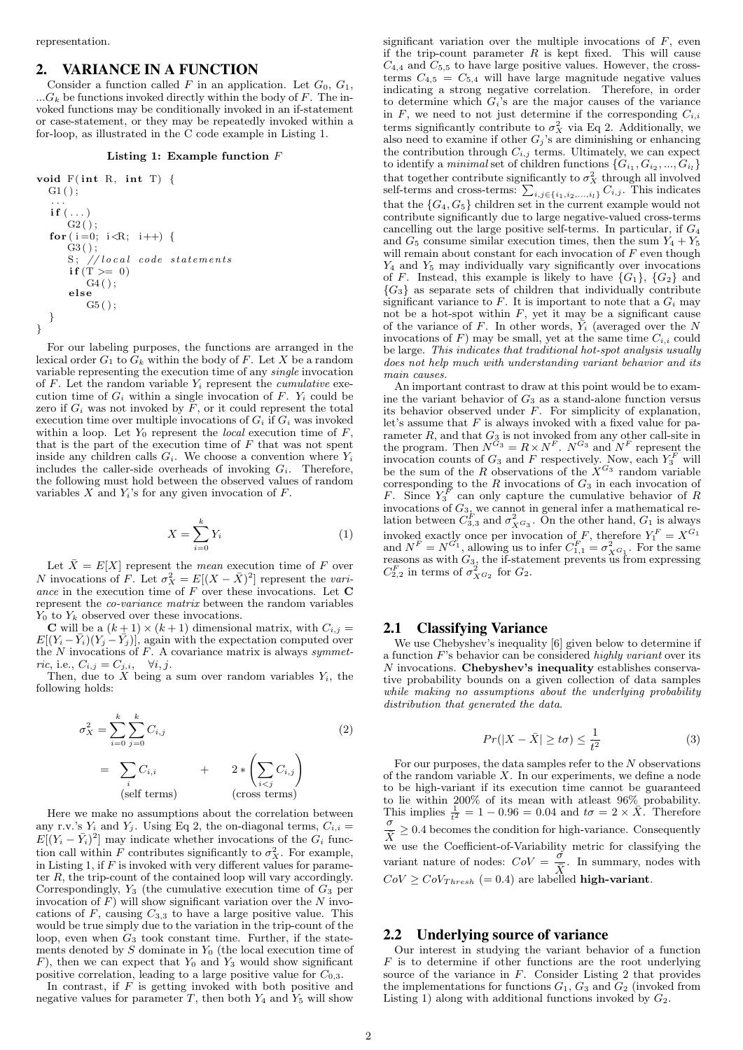## 2. VARIANCE IN A FUNCTION

Consider a function called F in an application. Let  $G_0, G_1$ ,  $...G_k$  be functions invoked directly within the body of F. The invoked functions may be conditionally invoked in an if-statement or case-statement, or they may be repeatedly invoked within a for-loop, as illustrated in the C code example in Listing 1.

#### Listing 1: Example function F

void F( int R, int T) { G1 ( ) ; . . . i f ( . . . ) G2 ( ) ; fo r ( i =0; i<R; i++) { G3 ( ) ; S ; // l o c a l code s t a t em e n t s i f (T >= 0 ) G4 ( ) ; e l s e G5 ( ) ; } }

For our labeling purposes, the functions are arranged in the lexical order  $G_1$  to  $G_k$  within the body of F. Let X be a random variable representing the execution time of any single invocation of  $F$ . Let the random variable  $Y_i$  represent the *cumulative* execution time of  $G_i$  within a single invocation of  $F$ .  $Y_i$  could be zero if  $G_i$  was not invoked by  $F$ , or it could represent the total execution time over multiple invocations of  $G_i$  if  $G_i$  was invoked within a loop. Let  $Y_0$  represent the *local* execution time of  $F$ that is the part of the execution time of  $F$  that was not spent inside any children calls  $G_i$ . We choose a convention where  $Y_i$ includes the caller-side overheads of invoking  $G_i$ . Therefore, the following must hold between the observed values of random variables  $X$  and  $Y_i$ 's for any given invocation of  $F$ .

$$
X = \sum_{i=0}^{k} Y_i
$$
 (1)

Let  $\bar{X} = E[X]$  represent the *mean* execution time of F over N invocations of F. Let  $\sigma_X^2 = E[(X - \bar{X})^2]$  represent the variance in the execution time of  $F$  over these invocations. Let  $C$ represent the co-variance matrix between the random variables  $Y_0$  to  $Y_k$  observed over these invocations.

**C** will be a  $(k+1) \times (k+1)$  dimensional matrix, with  $C_{i,j} = E[(Y_i - \bar{Y}_i)(Y_j - \bar{Y}_j)]$ , again with the expectation computed over the  $N$  invocations of  $F$ . A covariance matrix is always symmetric, i.e.,  $C_{i,j} = C_{j,i}, \quad \forall i, j.$ 

Then, due to  $X$  being a sum over random variables  $Y_i$ , the following holds:

$$
\sigma_X^2 = \sum_{i=0}^k \sum_{j=0}^k C_{i,j}
$$
\n
$$
= \sum_i C_{i,i} + 2 * \left(\sum_{i < j} C_{i,j}\right)
$$
\n(2)

\n(2)

\n(2)

\n(1)

\n(1)

\n(1)

\n(1)

\n(2)

\n(2)

\n(3)

\n(4)

\n(5)

\n(1)

\n(1)

\n(1)

\n(1)

\n(2)

Here we make no assumptions about the correlation between any r.v.'s  $Y_i$  and  $Y_j$ . Using Eq 2, the on-diagonal terms,  $C_{i,i} =$  $E[(Y_i - \bar{Y}_i)^2]$  may indicate whether invocations of the  $G_i$  function call within F contributes significantly to  $\sigma_X^2$ . For example, in Listing 1, if  $F$  is invoked with very different values for parameter R, the trip-count of the contained loop will vary accordingly. Correspondingly,  $Y_3$  (the cumulative execution time of  $G_3$  per invocation of  $F$ ) will show significant variation over the  $N$  invocations of  $F$ , causing  $C_{3,3}$  to have a large positive value. This would be true simply due to the variation in the trip-count of the loop, even when  $G_3$  took constant time. Further, if the statements denoted by  $S$  dominate in  $Y_0$  (the local execution time of F), then we can expect that  $Y_0$  and  $Y_3$  would show significant positive correlation, leading to a large positive value for  $C_{0,3}$ .

In contrast, if  $F$  is getting invoked with both positive and negative values for parameter T, then both  $Y_4$  and  $Y_5$  will show significant variation over the multiple invocations of  $F$ , even if the trip-count parameter  $R$  is kept fixed. This will cause  $C_{4,4}$  and  $C_{5,5}$  to have large positive values. However, the crossterms  $C_{4,5} = C_{5,4}$  will have large magnitude negative values indicating a strong negative correlation. Therefore, in order to determine which  $G_i$ 's are the major causes of the variance in  $F$ , we need to not just determine if the corresponding  $C_{i,i}$ terms significantly contribute to  $\sigma_X^2$  via Eq 2. Additionally, we also need to examine if other  $G_j$ 's are diminishing or enhancing the contribution through  $C_{i,j}$  terms. Ultimately, we can expect to identify a *minimal* set of children functions  $\{G_{i_1}, G_{i_2}, ..., G_{i_l}\}$ that together contribute significantly to  $\sigma_X^2$  through all involved self-terms and cross-terms:  $\sum_{i,j \in \{i_1,i_2,\ldots,i_l\}} C_{i,j}$ . This indicates that the  ${G_4, G_5}$  children set in the current example would not contribute significantly due to large negative-valued cross-terms cancelling out the large positive self-terms. In particular, if  $G_4$ and  $G_5$  consume similar execution times, then the sum  $Y_4 + Y_5$ will remain about constant for each invocation of  $F$  even though  $Y_4$  and  $Y_5$  may individually vary significantly over invocations of F. Instead, this example is likely to have  $\{G_1\}$ ,  $\{G_2\}$  and  ${G_3}$  as separate sets of children that individually contribute significant variance to  $F$ . It is important to note that a  $G_i$  may not be a hot-spot within  $F$ , yet it may be a significant cause of the variance of F. In other words,  $\overline{Y}_i$  (averaged over the N invocations of  $F$ ) may be small, yet at the same time  $C_{i,i}$  could be large. This indicates that traditional hot-spot analysis usually does not help much with understanding variant behavior and its main causes.

An important contrast to draw at this point would be to examine the variant behavior of  $G_3$  as a stand-alone function versus its behavior observed under  $F$ . For simplicity of explanation, let's assume that  $F$  is always invoked with a fixed value for parameter  $R$ , and that  $G_3$  is not invoked from any other call-site in the program. Then  $N^{G_3} = R \times N^F$ .  $N^{G_3}$  and  $N^F$  represent the invocation counts of  $G_3$  and F respectively. Now, each  $Y_3^F$  will be the sum of the R observations of the  $X^{G_3}$  random variable corresponding to the  $R$  invocations of  $G_3$  in each invocation of F. Since  $Y_3^F$  can only capture the cumulative behavior of R invocations of  $G_{3}$ , we cannot in general infer a mathematical relation between  $C_{3,3}^F$  and  $\sigma_{X^G3}^2$ . On the other hand,  $G_1$  is always invoked exactly once per invocation of F, therefore  $Y_1^F = X^{G_1}$ and  $N^F = N^{G_1}$ , allowing us to infer  $C_{1,1}^F = \sigma_{X^{G_1}}^2$ . For the same reasons as with  $G_3$ , the if-statement prevents us from expressing  $C_{2,2}^F$  in terms of  $\sigma_{X^G2}^2$  for  $G_2$ .

#### 2.1 Classifying Variance

We use Chebyshev's inequality [6] given below to determine if a function  $F$ 's behavior can be considered *highly variant* over its  $N$  invocations. Chebyshev's inequality establishes conservative probability bounds on a given collection of data samples while making no assumptions about the underlying probability distribution that generated the data.

$$
Pr(|X - \bar{X}| \ge t\sigma) \le \frac{1}{t^2}
$$
\n(3)

For our purposes, the data samples refer to the  $N$  observations of the random variable  $X$ . In our experiments, we define a node to be high-variant if its execution time cannot be guaranteed to lie within 200% of its mean with at least  $96\%$  probability. This implies  $\frac{1}{t^2} = 1 - 0.96 = 0.04$  and  $t\sigma = 2 \times \overline{X}$ . Therefore  $\sigma$   $\sim$  0.41  $\frac{\sigma}{\overline{X}} \geq 0.4$  becomes the condition for high-variance. Consequently we use the Coefficient-of-Variability metric for classifying the variant nature of nodes:  $CoV = \frac{\dot{\sigma}}{\bar{s}}$  $\frac{\sigma}{\overline{X}}$ . In summary, nodes with  $CoV \geq CoV_{Thresh} \ (= 0.4)$  are labelled **high-variant**.

## 2.2 Underlying source of variance

Our interest in studying the variant behavior of a function  $F$  is to determine if other functions are the root underlying source of the variance in  $F$ . Consider Listing 2 that provides the implementations for functions  $G_1, G_3$  and  $G_2$  (invoked from Listing 1) along with additional functions invoked by  $G_2$ .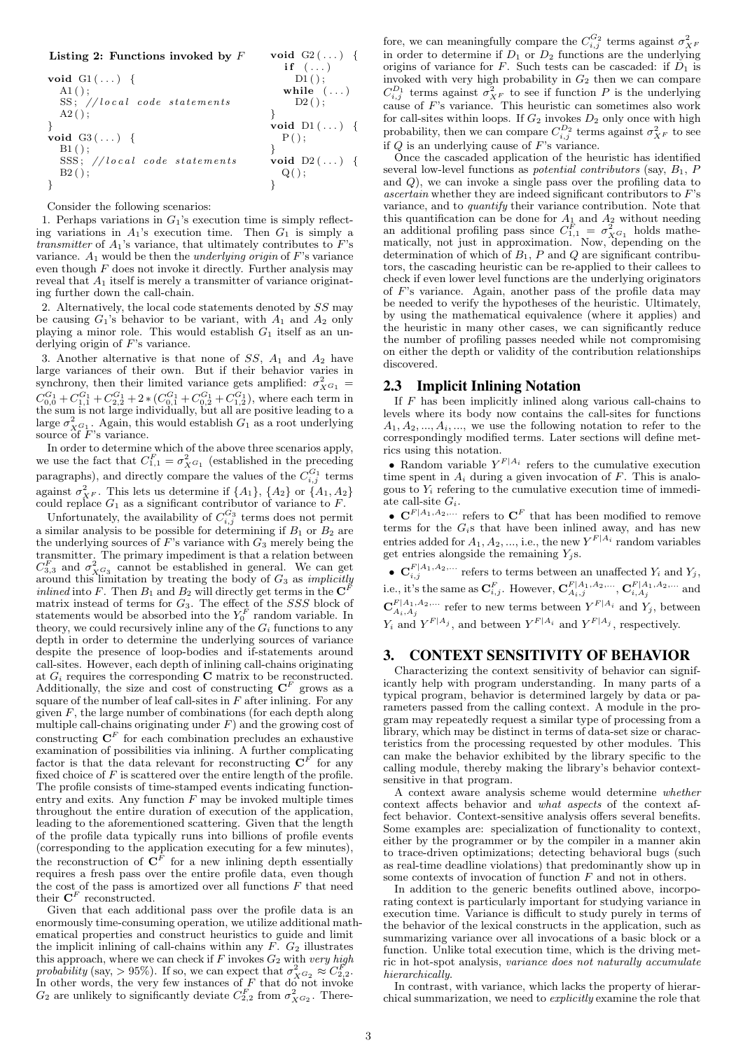#### Listing 2: Functions invoked by  $F$

|                              | if $(\ldots)$       |
|------------------------------|---------------------|
| void $GI()$ {                | $D1()$ :            |
| $A1()$ ;                     | while $(\ldots)$    |
| SS; //local code statements  | $D2()$ ;            |
| $A2()$ ;                     |                     |
|                              | void $DI(\ldots)$ { |
| void $G3$ () {               | P()                 |
| $B1()$ ;                     |                     |
| SSS; //local code statements | void $D2(\ldots)$ { |
| $B2()$ ;                     | $Q()$ ;             |
|                              |                     |

void  $G2$   $(\ldots)$  {

Consider the following scenarios:

1. Perhaps variations in  $G_1$ 's execution time is simply reflecting variations in  $A_1$ 's execution time. Then  $G_1$  is simply a transmitter of  $A_1$ 's variance, that ultimately contributes to  $F$ 's variance.  $A_1$  would be then the *underlying origin* of  $F$ 's variance even though  $F$  does not invoke it directly. Further analysis may reveal that  $A_1$  itself is merely a transmitter of variance originating further down the call-chain.

2. Alternatively, the local code statements denoted by SS may be causing  $G_1$ 's behavior to be variant, with  $A_1$  and  $A_2$  only playing a minor role. This would establish  $G_1$  itself as an underlying origin of  $F$ 's variance.

3. Another alternative is that none of  $SS$ ,  $A_1$  and  $A_2$  have large variances of their own. But if their behavior varies in synchrony, then their limited variance gets amplified:  $\sigma_{X^{G_1}}^2$  $C_{0,0}^{G_1} + C_{1,1}^{G_1} + C_{2,2}^{G_1} + 2 * (C_{0,1}^{G_1} + C_{0,2}^{G_1} + C_{1,2}^{G_1})$ , where each term in the sum is not large individually, but all are positive leading to a large  $\sigma_{X_{\sigma_{1}}^{G_{1}}}^{2}$ . Again, this would establish  $G_{1}$  as a root underlying source of  $F$ 's variance.

In order to determine which of the above three scenarios apply, we use the fact that  $C_{1,1}^F = \sigma_{X^G}^2$  (established in the preceding paragraphs), and directly compare the values of the  $C_{i,j}^{G_1}$  terms against  $\sigma_{XF}^2$ . This lets us determine if  $\{A_1\}$ ,  $\{A_2\}$  or  $\{A_1, A_2\}$  could replace  $G_1$  as a significant contributor of variance to  $F$ .

Unfortunately, the availability of  $C_{i,j}^{G_3}$  terms does not permit a similar analysis to be possible for determining if  $B_1$  or  $B_2$  are the underlying sources of F's variance with  $G_3$  merely being the transmitter. The primary impediment is that a relation between  $C_{3,3}^F$  and  $\sigma_{XG_3}^2$  cannot be established in general. We can get around this limitation by treating the body of  $G_3$  as *implicitly inlined* into F. Then  $B_1$  and  $B_2$  will directly get terms in the  $\mathbb{C}^F$ matrix instead of terms for  $G_3$ . The effect of the  $SSS$  block of statements would be absorbed into the  $Y_0^F$  random variable. In theory, we could recursively inline any of the  $G_i$  functions to any depth in order to determine the underlying sources of variance despite the presence of loop-bodies and if-statements around call-sites. However, each depth of inlining call-chains originating at  $G_i$  requires the corresponding  $C$  matrix to be reconstructed. Additionally, the size and cost of constructing  $\mathbf{C}^F$  grows as a square of the number of leaf call-sites in  $F$  after inlining. For any given  $F$ , the large number of combinations (for each depth along multiple call-chains originating under  $F$ ) and the growing cost of constructing  $\mathbf{C}^F$  for each combination precludes an exhaustive examination of possibilities via inlining. A further complicating factor is that the data relevant for reconstructing  $\mathbf{C}^{F}$  for any fixed choice of  $F$  is scattered over the entire length of the profile. The profile consists of time-stamped events indicating functionentry and exits. Any function  $F$  may be invoked multiple times throughout the entire duration of execution of the application, leading to the aforementioned scattering. Given that the length of the profile data typically runs into billions of profile events (corresponding to the application executing for a few minutes), the reconstruction of  $\mathbf{C}^F$  for a new inlining depth essentially requires a fresh pass over the entire profile data, even though the cost of the pass is amortized over all functions  $F$  that need their  $\mathbf{C}^F$  reconstructed.

Given that each additional pass over the profile data is an enormously time-consuming operation, we utilize additional mathematical properties and construct heuristics to guide and limit the implicit inlining of call-chains within any  $F. G_2$  illustrates this approach, where we can check if  $F$  invokes  $G_2$  with very high probability (say, > 95%). If so, we can expect that  $\sigma_{X^{G_2}}^2 \approx C_{2,2}^F$ . In other words, the very few instances of  $F$  that do not invoke  $G_2$  are unlikely to significantly deviate  $C_{2,2}^F$  from  $\sigma_{X}^2 G_2$ . There-

fore, we can meaningfully compare the  $C_{i,j}^{G_2}$  terms against  $\sigma_{XF}^2$  in order to determine if  $D_1$  or  $D_2$  functions are the underlying origins of variance for F. Such tests can be cascaded: if  $D_1$  is invoked with very high probability in  $G_2$  then we can compare  $C_{i,j}^{D_1}$  terms against  $\sigma_{X^F}^2$  to see if function P is the underlying cause of F's variance. This heuristic can sometimes also work for call-sites within loops. If  $G_2$  invokes  $D_2$  only once with high probability, then we can compare  $C_{i,j}^{D_2}$  terms against  $\sigma_{X^F}^2$  to see if  $Q$  is an underlying cause of  $F$ 's variance.

Once the cascaded application of the heuristic has identified several low-level functions as *potential contributors* (say,  $B_1$ ,  $P$ and Q), we can invoke a single pass over the profiling data to  $ascertain$  whether they are indeed significant contributors to  $F$ 's variance, and to quantify their variance contribution. Note that this quantification can be done for  $A_1$  and  $A_2$  without needing an additional profiling pass since  $C_{1,1}^F = \sigma_{XG_1}^2$  holds mathematically, not just in approximation. Now, depending on the determination of which of  $B_1$ , P and Q are significant contributors, the cascading heuristic can be re-applied to their callees to check if even lower level functions are the underlying originators of F's variance. Again, another pass of the profile data may be needed to verify the hypotheses of the heuristic. Ultimately, by using the mathematical equivalence (where it applies) and the heuristic in many other cases, we can significantly reduce the number of profiling passes needed while not compromising on either the depth or validity of the contribution relationships discovered.

## 2.3 Implicit Inlining Notation

If  $F$  has been implicitly inlined along various call-chains to levels where its body now contains the call-sites for functions  $A_1, A_2, \ldots, A_i, \ldots$ , we use the following notation to refer to the correspondingly modified terms. Later sections will define metrics using this notation.

• Random variable  $Y^{F|A_i}$  refers to the cumulative execution time spent in  $A_i$  during a given invocation of  $F$ . This is analogous to  $Y_i$  refering to the cumulative execution time of immediate call-site  $G_i$ .

•  $\mathbf{C}^{F|A_1,A_2,...}$  refers to  $\mathbf{C}^F$  that has been modified to remove terms for the  $G_i$ s that have been inlined away, and has new entries added for  $A_1, A_2, ...,$  i.e., the new  $Y^{F|A_i}$  random variables get entries alongside the remaining  $Y_i$ s.

•  $\mathbf{C}_{i,j}^{F|A_1,A_2,...}$  refers to terms between an unaffected  $Y_i$  and  $Y_j$ , i.e., it's the same as  $\mathbf{C}_{i,j}^F$ . However,  $\mathbf{C}_{A_i,j}^{F|A_1,A_2,\ldots}$ ,  $\mathbf{C}_{i,A_j}^{F|A_1,A_2,\ldots}$  and  $\mathbf{C}_{A_i,A_j}^{F|A_1,A_2,\dots}$  refer to new terms between  $Y^{F|A_i}$  and  $Y_j$ , between  $Y_i$  and  $Y^{F|A_j}$ , and between  $Y^{F|A_i}$  and  $Y^{F|A_j}$ , respectively.

# 3. CONTEXT SENSITIVITY OF BEHAVIOR

Characterizing the context sensitivity of behavior can significantly help with program understanding. In many parts of a typical program, behavior is determined largely by data or parameters passed from the calling context. A module in the program may repeatedly request a similar type of processing from a library, which may be distinct in terms of data-set size or characteristics from the processing requested by other modules. This can make the behavior exhibited by the library specific to the calling module, thereby making the library's behavior contextsensitive in that program.

A context aware analysis scheme would determine whether context affects behavior and what aspects of the context affect behavior. Context-sensitive analysis offers several benefits. Some examples are: specialization of functionality to context, either by the programmer or by the compiler in a manner akin to trace-driven optimizations; detecting behavioral bugs (such as real-time deadline violations) that predominantly show up in some contexts of invocation of function  $F$  and not in others.

In addition to the generic benefits outlined above, incorporating context is particularly important for studying variance in execution time. Variance is difficult to study purely in terms of the behavior of the lexical constructs in the application, such as summarizing variance over all invocations of a basic block or a function. Unlike total execution time, which is the driving metric in hot-spot analysis, variance does not naturally accumulate hierarchically.

In contrast, with variance, which lacks the property of hierarchical summarization, we need to explicitly examine the role that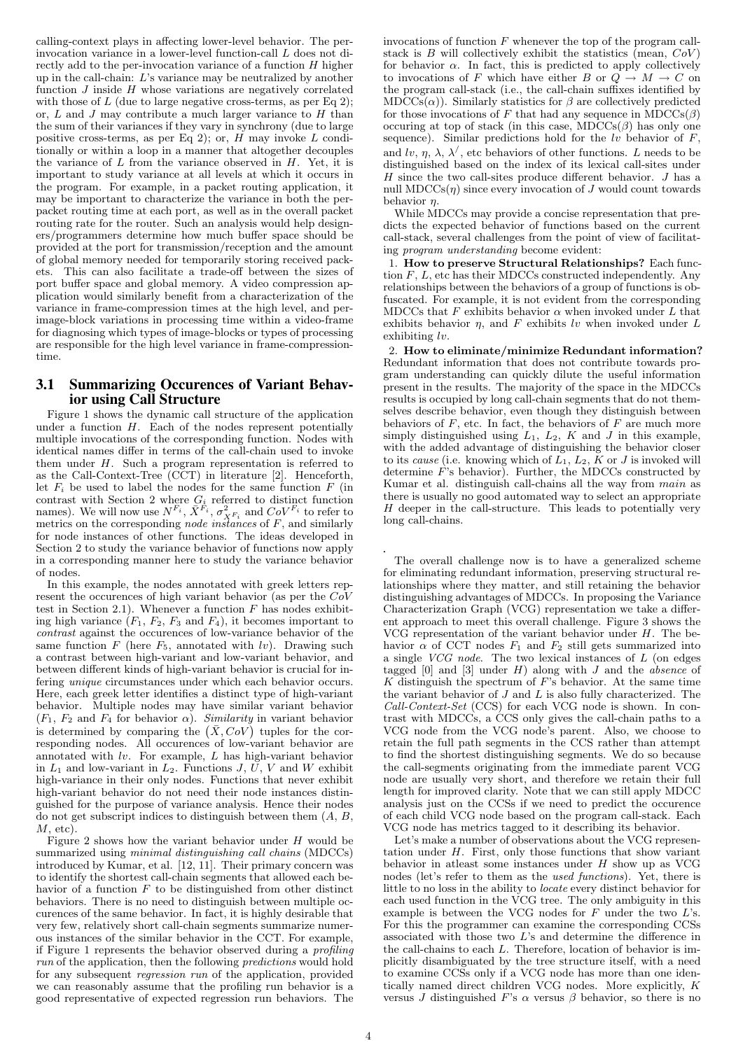calling-context plays in affecting lower-level behavior. The perinvocation variance in a lower-level function-call L does not directly add to the per-invocation variance of a function  $H$  higher up in the call-chain: L's variance may be neutralized by another function  $J$  inside  $H$  whose variations are negatively correlated with those of  $L$  (due to large negative cross-terms, as per Eq 2); or,  $L$  and  $J$  may contribute a much larger variance to  $H$  than the sum of their variances if they vary in synchrony (due to large positive cross-terms, as per Eq 2); or,  $H$  may invoke  $L$  conditionally or within a loop in a manner that altogether decouples the variance of  $L$  from the variance observed in  $H$ . Yet, it is important to study variance at all levels at which it occurs in the program. For example, in a packet routing application, it may be important to characterize the variance in both the perpacket routing time at each port, as well as in the overall packet routing rate for the router. Such an analysis would help designers/programmers determine how much buffer space should be provided at the port for transmission/reception and the amount of global memory needed for temporarily storing received pack-This can also facilitate a trade-off between the sizes of port buffer space and global memory. A video compression application would similarly benefit from a characterization of the variance in frame-compression times at the high level, and perimage-block variations in processing time within a video-frame for diagnosing which types of image-blocks or types of processing are responsible for the high level variance in frame-compressiontime.

## 3.1 Summarizing Occurences of Variant Behavior using Call Structure

Figure 1 shows the dynamic call structure of the application under a function  $H$ . Each of the nodes represent potentially multiple invocations of the corresponding function. Nodes with identical names differ in terms of the call-chain used to invoke them under  $H$ . Such a program representation is referred to as the Call-Context-Tree (CCT) in literature [2]. Henceforth, let  $F_i$  be used to label the nodes for the same function  $F$  (in contrast with Section 2 where  $G_i$  referred to distinct function names). We will now use  $N^{F_i}$ ,  $\bar{X}^{\bar{F}_i}$ ,  $\sigma_{X^{F_i}}^2$  and  $COV^{F_i}$  to refer to metrics on the corresponding node instances of  $F$ , and similarly for node instances of other functions. The ideas developed in Section 2 to study the variance behavior of functions now apply in a corresponding manner here to study the variance behavior of nodes.

In this example, the nodes annotated with greek letters represent the occurences of high variant behavior (as per the CoV test in Section 2.1). Whenever a function  $F$  has nodes exhibiting high variance  $(F_1, F_2, F_3 \text{ and } F_4)$ , it becomes important to contrast against the occurences of low-variance behavior of the same function  $F$  (here  $F_5$ , annotated with  $lv$ ). Drawing such a contrast between high-variant and low-variant behavior, and between different kinds of high-variant behavior is crucial for infering unique circumstances under which each behavior occurs. Here, each greek letter identifies a distinct type of high-variant behavior. Multiple nodes may have similar variant behavior  $(F_1, F_2$  and  $F_4$  for behavior  $\alpha$ ). Similarity in variant behavior is determined by comparing the  $(\bar{X}, CoV)$  tuples for the corresponding nodes. All occurences of low-variant behavior are annotated with lv. For example, L has high-variant behavior in  $L_1$  and low-variant in  $L_2$ . Functions  $J, \overline{U}, V$  and W exhibit high-variance in their only nodes. Functions that never exhibit high-variant behavior do not need their node instances distinguished for the purpose of variance analysis. Hence their nodes  $\overline{d}$  do not get subscript indices to distinguish between them  $(A, B, \overline{B})$  $M$ , etc).

Figure 2 shows how the variant behavior under  $H$  would be summarized using *minimal distinguishing call chains* (MDCCs) introduced by Kumar, et al. [12, 11]. Their primary concern was to identify the shortest call-chain segments that allowed each behavior of a function  $F$  to be distinguished from other distinct behaviors. There is no need to distinguish between multiple occurences of the same behavior. In fact, it is highly desirable that very few, relatively short call-chain segments summarize numerous instances of the similar behavior in the CCT. For example, if Figure 1 represents the behavior observed during a profiling run of the application, then the following predictions would hold for any subsequent regression run of the application, provided we can reasonably assume that the profiling run behavior is a good representative of expected regression run behaviors. The invocations of function  $F$  whenever the top of the program callstack is  $B$  will collectively exhibit the statistics (mean,  $CoV$ ) for behavior  $\alpha$ . In fact, this is predicted to apply collectively to invocations of F which have either B or  $Q \rightarrow M \rightarrow C$  on the program call-stack (i.e., the call-chain suffixes identified by MDCCs( $\alpha$ ). Similarly statistics for  $\beta$  are collectively predicted for those invocations of F that had any sequence in  $MDCCs(\beta)$ occuring at top of stack (in this case,  $MDCCs(\beta)$  has only one sequence). Similar predictions hold for the  $lv$  behavior of  $F$ , and  $\ell v, \eta, \lambda, \lambda'$ , etc behaviors of other functions. L needs to be distinguished based on the index of its lexical call-sites under  $H$  since the two call-sites produce different behavior.  $J$  has a null MDCCs $(\eta)$  since every invocation of J would count towards behavior  $\eta$ .

While MDCCs may provide a concise representation that predicts the expected behavior of functions based on the current call-stack, several challenges from the point of view of facilitating program understanding become evident:

1. How to preserve Structural Relationships? Each function  $F, L$ , etc has their MDCCs constructed independently. Any relationships between the behaviors of a group of functions is obfuscated. For example, it is not evident from the corresponding MDCCs that F exhibits behavior  $\alpha$  when invoked under L that exhibits behavior  $\eta$ , and F exhibits lv when invoked under L exhibiting lv.

2. How to eliminate/minimize Redundant information? Redundant information that does not contribute towards program understanding can quickly dilute the useful information present in the results. The majority of the space in the MDCCs results is occupied by long call-chain segments that do not themselves describe behavior, even though they distinguish between behaviors of  $F$ , etc. In fact, the behaviors of  $F$  are much more simply distinguished using  $L_1$ ,  $L_2$ ,  $K$  and  $J$  in this example, with the added advantage of distinguishing the behavior closer to its cause (i.e. knowing which of  $L_1$ ,  $L_2$ , K or J is invoked will determine  $\overline{F}$ 's behavior). Further, the MDCCs constructed by Kumar et al. distinguish call-chains all the way from main as there is usually no good automated way to select an appropriate  $H$  deeper in the call-structure. This leads to potentially very long call-chains.

*.* The overall challenge now is to have a generalized scheme for eliminating redundant information, preserving structural relationships where they matter, and still retaining the behavior distinguishing advantages of MDCCs. In proposing the Variance Characterization Graph (VCG) representation we take a different approach to meet this overall challenge. Figure 3 shows the VCG representation of the variant behavior under  $H$ . The behavior  $\alpha$  of CCT nodes  $F_1$  and  $F_2$  still gets summarized into a single VCG node. The two lexical instances of L (on edges tagged  $[0]$  and  $[3]$  under  $H$ ) along with  $J$  and the *absence* of K distinguish the spectrum of  $F$ 's behavior. At the same time the variant behavior of  $J$  and  $L$  is also fully characterized. The Call-Context-Set (CCS) for each VCG node is shown. In contrast with MDCCs, a  $\hat{C}CS$  only gives the call-chain paths to a VCG node from the VCG node's parent. Also, we choose to retain the full path segments in the CCS rather than attempt to find the shortest distinguishing segments. We do so because the call-segments originating from the immediate parent VCG node are usually very short, and therefore we retain their full length for improved clarity. Note that we can still apply MDCC analysis just on the CCSs if we need to predict the occurence of each child VCG node based on the program call-stack. Each VCG node has metrics tagged to it describing its behavior.

Let's make a number of observations about the VCG representation under  $H$ . First, only those functions that show variant behavior in atleast some instances under  $H$  show up as VCG nodes (let's refer to them as the used functions). Yet, there is little to no loss in the ability to locate every distinct behavior for each used function in the VCG tree. The only ambiguity in this example is between the VCG nodes for  $F$  under the two  $L$ 's. For this the programmer can examine the corresponding CCSs associated with those two  $L$ 's and determine the difference in the call-chains to each L. Therefore, location of behavior is implicitly disambiguated by the tree structure itself, with a need to examine CCSs only if a VCG node has more than one identically named direct children VCG nodes. More explicitly, K versus J distinguished F's  $\alpha$  versus  $\beta$  behavior, so there is no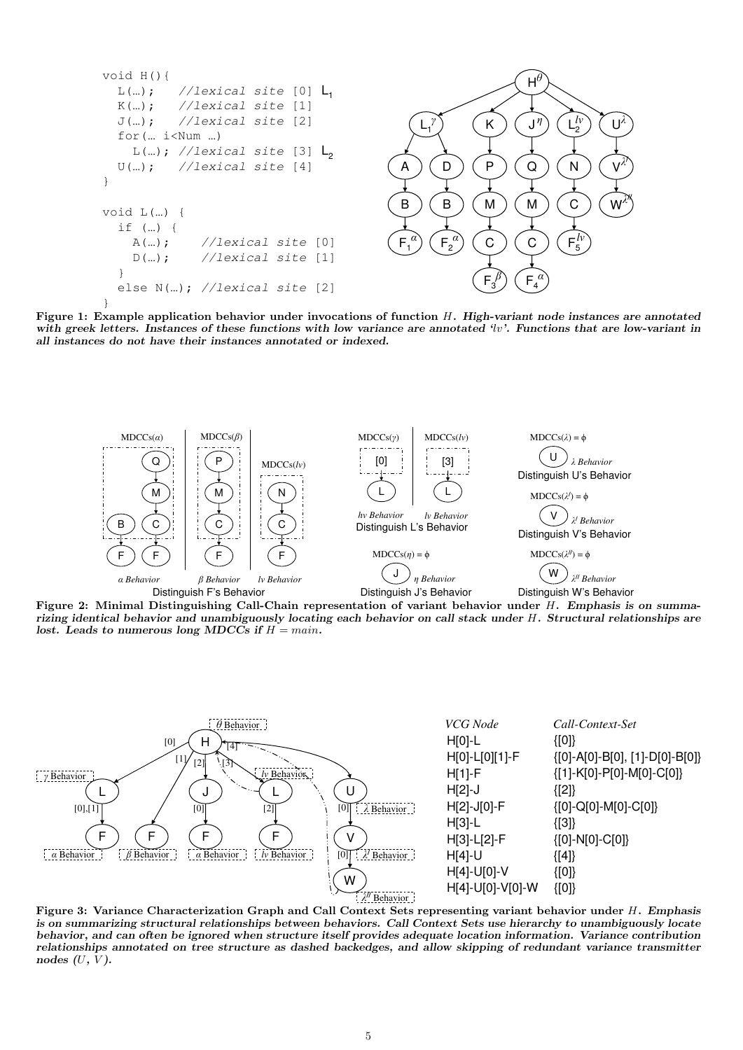

Figure 1: Example application behavior under invocations of function H. High-variant node instances are annotated with greek letters. Instances of these functions with low variance are annotated  $\{w\}$ . Functions that are low-variant in all instances do not have their instances annotated or indexed.



Figure 2: Minimal Distinguishing Call-Chain representation of variant behavior under H. Emphasis is on summarizing identical behavior and unambiguously locating each behavior on call stack under H. Structural relationships are lost. Leads to numerous long MDCCs if  $H = main$ .



Figure 3: Variance Characterization Graph and Call Context Sets representing variant behavior under H. Emphasis is on summarizing structural relationships between behaviors. Call Context Sets use hierarchy to unambiguously locate behavior, and can often be ignored when structure itself provides adequate location information. Variance contribution relationships annotated on tree structure as dashed backedges, and allow skipping of redundant variance transmitter nodes  $(U, V)$ .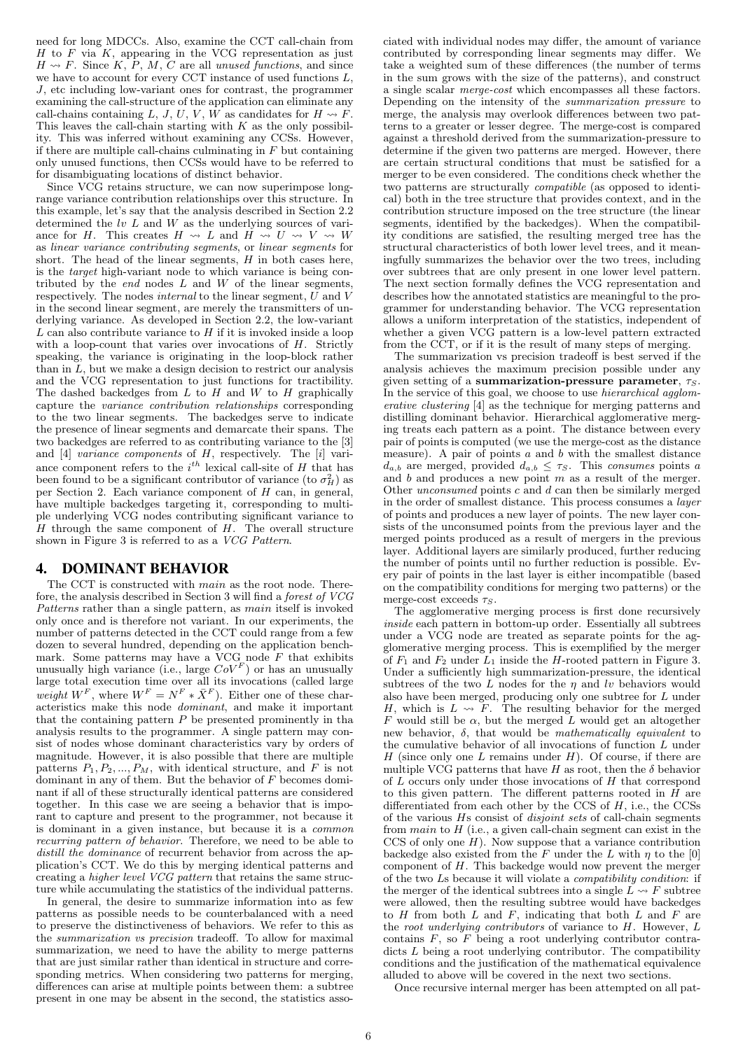need for long MDCCs. Also, examine the CCT call-chain from  $H$  to  $F$  via  $K$ , appearing in the VCG representation as just  $H \rightsquigarrow F$ . Since K, P, M, C are all unused functions, and since we have to account for every CCT instance of used functions L, J, etc including low-variant ones for contrast, the programmer examining the call-structure of the application can eliminate any call-chains containing L, J, U, V, W as candidates for  $H \rightsquigarrow F$ . This leaves the call-chain starting with  $K$  as the only possibility. This was inferred without examining any CCSs. However, if there are multiple call-chains culminating in  $F$  but containing only unused functions, then CCSs would have to be referred to for disambiguating locations of distinct behavior.

Since VCG retains structure, we can now superimpose longrange variance contribution relationships over this structure. In this example, let's say that the analysis described in Section 2.2 determined the  $lv L$  and  $W$  as the underlying sources of variance for H. This creates  $H \rightsquigarrow L$  and  $H \rightsquigarrow U \rightsquigarrow V \rightsquigarrow W$ as linear variance contributing segments, or linear segments for short. The head of the linear segments,  $H$  in both cases here, is the target high-variant node to which variance is being contributed by the *end* nodes  $L$  and  $W$  of the linear segments, respectively. The nodes internal to the linear segment, U and V in the second linear segment, are merely the transmitters of underlying variance. As developed in Section 2.2, the low-variant  $L$  can also contribute variance to  $H$  if it is invoked inside a loop with a loop-count that varies over invocations of  $H$ . Strictly speaking, the variance is originating in the loop-block rather than in  $L$ , but we make a design decision to restrict our analysis and the VCG representation to just functions for tractibility. The dashed backedges from  $L$  to  $H$  and  $W$  to  $H$  graphically capture the variance contribution relationships corresponding to the two linear segments. The backedges serve to indicate the presence of linear segments and demarcate their spans. The two backedges are referred to as contributing variance to the [3] and  $[4]$  variance components of  $H$ , respectively. The  $[i]$  variance component refers to the  $i^{th}$  lexical call-site of H that has been found to be a significant contributor of variance (to  $\sigma_H^2$ ) as per Section 2. Each variance component of H can, in general, have multiple backedges targeting it, corresponding to multiple underlying VCG nodes contributing significant variance to  $H$  through the same component of  $H$ . The overall structure shown in Figure 3 is referred to as a VCG Pattern.

## 4. DOMINANT BEHAVIOR

The CCT is constructed with main as the root node. Therefore, the analysis described in Section 3 will find a forest of VCG Patterns rather than a single pattern, as *main* itself is invoked only once and is therefore not variant. In our experiments, the number of patterns detected in the CCT could range from a few dozen to several hundred, depending on the application benchmark. Some patterns may have a VCG node  $F$  that exhibits unusually high variance (i.e., large  $CoV^F$ ) or has an unusually large total execution time over all its invocations (called large weight  $W^F$ , where  $W^F = N^F * \overline{X}^F$ . Either one of these characteristics make this node dominant, and make it important that the containing pattern  $P$  be presented prominently in that analysis results to the programmer. A single pattern may consist of nodes whose dominant characteristics vary by orders of magnitude. However, it is also possible that there are multiple patterns  $P_1, P_2, ..., P_M$ , with identical structure, and F is not dominant in any of them. But the behavior of F becomes dominant if all of these structurally identical patterns are considered together. In this case we are seeing a behavior that is imporant to capture and present to the programmer, not because it is dominant in a given instance, but because it is a common recurring pattern of behavior. Therefore, we need to be able to distill the dominance of recurrent behavior from across the application's CCT. We do this by merging identical patterns and creating a higher level VCG pattern that retains the same structure while accumulating the statistics of the individual patterns.

In general, the desire to summarize information into as few patterns as possible needs to be counterbalanced with a need to preserve the distinctiveness of behaviors. We refer to this as the summarization vs precision tradeoff. To allow for maximal summarization, we need to have the ability to merge patterns that are just similar rather than identical in structure and corresponding metrics. When considering two patterns for merging, differences can arise at multiple points between them: a subtree present in one may be absent in the second, the statistics asso-

ciated with individual nodes may differ, the amount of variance contributed by corresponding linear segments may differ. We take a weighted sum of these differences (the number of terms in the sum grows with the size of the patterns), and construct a single scalar merge-cost which encompasses all these factors. Depending on the intensity of the summarization pressure to merge, the analysis may overlook differences between two patterns to a greater or lesser degree. The merge-cost is compared against a threshold derived from the summarization-pressure to determine if the given two patterns are merged. However, there are certain structural conditions that must be satisfied for a merger to be even considered. The conditions check whether the two patterns are structurally compatible (as opposed to identical) both in the tree structure that provides context, and in the contribution structure imposed on the tree structure (the linear segments, identified by the backedges). When the compatibility conditions are satisfied, the resulting merged tree has the structural characteristics of both lower level trees, and it meaningfully summarizes the behavior over the two trees, including over subtrees that are only present in one lower level pattern. The next section formally defines the VCG representation and describes how the annotated statistics are meaningful to the programmer for understanding behavior. The VCG representation allows a uniform interpretation of the statistics, independent of whether a given VCG pattern is a low-level pattern extracted from the CCT, or if it is the result of many steps of merging.

The summarization vs precision tradeoff is best served if the analysis achieves the maximum precision possible under any given setting of a summarization-pressure parameter,  $\tau_s$ . In the service of this goal, we choose to use *hierarchical agglom*erative clustering [4] as the technique for merging patterns and distilling dominant behavior. Hierarchical agglomerative merging treats each pattern as a point. The distance between every pair of points is computed (we use the merge-cost as the distance measure). A pair of points  $a$  and  $b$  with the smallest distance  $d_{a,b}$  are merged, provided  $d_{a,b} \leq \tau_S$ . This consumes points a and  $b$  and produces a new point  $m$  as a result of the merger. Other unconsumed points c and d can then be similarly merged in the order of smallest distance. This process consumes a layer of points and produces a new layer of points. The new layer consists of the unconsumed points from the previous layer and the merged points produced as a result of mergers in the previous layer. Additional layers are similarly produced, further reducing the number of points until no further reduction is possible. Every pair of points in the last layer is either incompatible (based on the compatibility conditions for merging two patterns) or the merge-cost exceeds  $\tau_S$ .

The agglomerative merging process is first done recursively inside each pattern in bottom-up order. Essentially all subtrees under a VCG node are treated as separate points for the agglomerative merging process. This is exemplified by the merger of  $F_1$  and  $F_2$  under  $L_1$  inside the H-rooted pattern in Figure 3. Under a sufficiently high summarization-pressure, the identical subtrees of the two L nodes for the  $\eta$  and lv behaviors would also have been merged, producing only one subtree for L under  $H$ , which is  $L \leadsto F$ . The resulting behavior for the merged F would still be  $\alpha$ , but the merged L would get an altogether new behavior,  $\delta$ , that would be *mathematically equivalent* to the cumulative behavior of all invocations of function L under H (since only one L remains under  $H$ ). Of course, if there are multiple VCG patterns that have H as root, then the  $\delta$  behavior of  $L$  occurs only under those invocations of  $H$  that correspond to this given pattern. The different patterns rooted in  $H$  are differentiated from each other by the CCS of  $H$ , i.e., the CCSs of the various Hs consist of disjoint sets of call-chain segments from  $main$  to  $H$  (i.e., a given call-chain segment can exist in the CCS of only one  $H$ ). Now suppose that a variance contribution backedge also existed from the F under the L with  $n$  to the [0] component of  $H$ . This backedge would now prevent the merger of the two Ls because it will violate a compatibility condition: if the merger of the identical subtrees into a single  $\overline{L} \rightsquigarrow F$  subtree were allowed, then the resulting subtree would have backedges to  $H$  from both  $L$  and  $F$ , indicating that both  $L$  and  $F$  are the root underlying contributors of variance to  $H$ . However,  $L$ contains  $F$ , so  $\overline{F}$  being a root underlying contributor contradicts L being a root underlying contributor. The compatibility conditions and the justification of the mathematical equivalence alluded to above will be covered in the next two sections.

Once recursive internal merger has been attempted on all pat-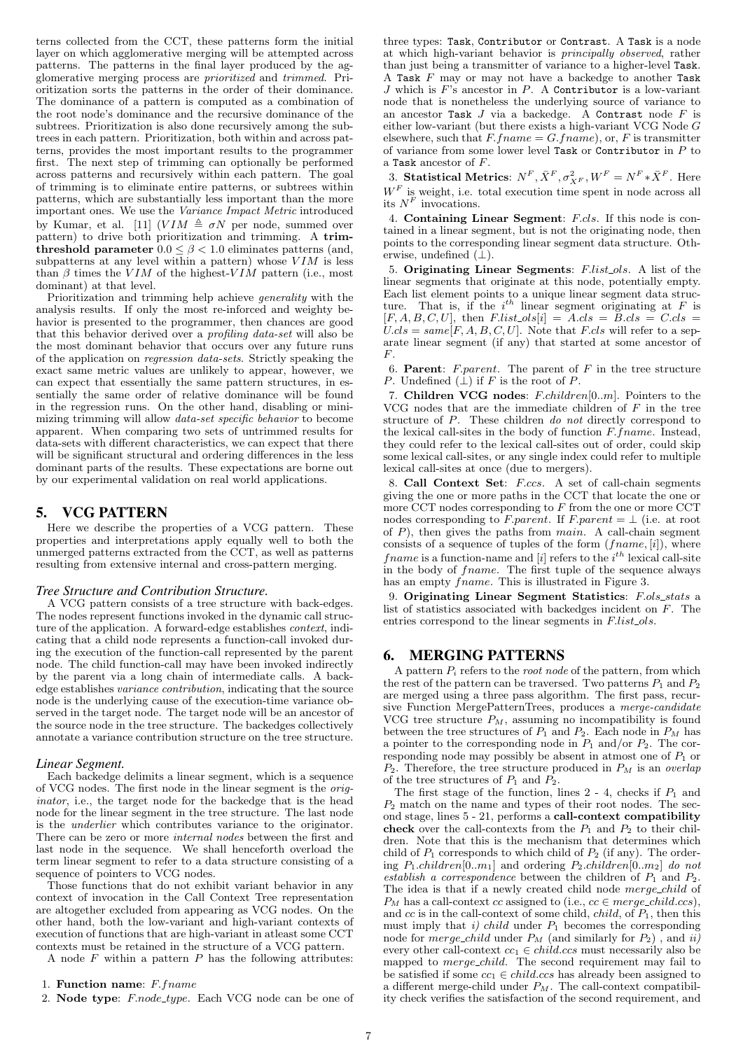terns collected from the CCT, these patterns form the initial layer on which agglomerative merging will be attempted across patterns. The patterns in the final layer produced by the agglomerative merging process are prioritized and trimmed. Prioritization sorts the patterns in the order of their dominance. The dominance of a pattern is computed as a combination of the root node's dominance and the recursive dominance of the subtrees. Prioritization is also done recursively among the subtrees in each pattern. Prioritization, both within and across patterns, provides the most important results to the programmer first. The next step of trimming can optionally be performed across patterns and recursively within each pattern. The goal of trimming is to eliminate entire patterns, or subtrees within patterns, which are substantially less important than the more important ones. We use the Variance Impact Metric introduced by Kumar, et al. [11]  $(VIM \triangleq \sigma N$  per node, summed over pattern) to drive both prioritization and trimming. A trimthreshold parameter  $0.0 \le \beta \le 1.0$  eliminates patterns (and, subpatterns at any level within a pattern) whose  $VIM$  is less than  $\beta$  times the VIM of the highest-VIM pattern (i.e., most dominant) at that level.

Prioritization and trimming help achieve generality with the analysis results. If only the most re-inforced and weighty behavior is presented to the programmer, then chances are good that this behavior derived over a profiling data-set will also be the most dominant behavior that occurs over any future runs of the application on regression data-sets. Strictly speaking the exact same metric values are unlikely to appear, however, we can expect that essentially the same pattern structures, in essentially the same order of relative dominance will be found in the regression runs. On the other hand, disabling or minimizing trimming will allow data-set specific behavior to become apparent. When comparing two sets of untrimmed results for data-sets with different characteristics, we can expect that there will be significant structural and ordering differences in the less dominant parts of the results. These expectations are borne out by our experimental validation on real world applications.

# 5. VCG PATTERN

Here we describe the properties of a VCG pattern. These properties and interpretations apply equally well to both the unmerged patterns extracted from the CCT, as well as patterns resulting from extensive internal and cross-pattern merging.

#### *Tree Structure and Contribution Structure.*

A VCG pattern consists of a tree structure with back-edges. The nodes represent functions invoked in the dynamic call structure of the application. A forward-edge establishes *context*, indicating that a child node represents a function-call invoked during the execution of the function-call represented by the parent node. The child function-call may have been invoked indirectly by the parent via a long chain of intermediate calls. A backedge establishes variance contribution, indicating that the source node is the underlying cause of the execution-time variance observed in the target node. The target node will be an ancestor of the source node in the tree structure. The backedges collectively annotate a variance contribution structure on the tree structure.

## *Linear Segment.*

Each backedge delimits a linear segment, which is a sequence of VCG nodes. The first node in the linear segment is the originator, i.e., the target node for the backedge that is the head node for the linear segment in the tree structure. The last node is the underlier which contributes variance to the originator. There can be zero or more *internal nodes* between the first and last node in the sequence. We shall henceforth overload the term linear segment to refer to a data structure consisting of a sequence of pointers to VCG nodes.

Those functions that do not exhibit variant behavior in any context of invocation in the Call Context Tree representation are altogether excluded from appearing as VCG nodes. On the other hand, both the low-variant and high-variant contexts of execution of functions that are high-variant in atleast some CCT contexts must be retained in the structure of a VCG pattern.

A node  $F$  within a pattern  $P$  has the following attributes:

three types: Task, Contributor or Contrast. A Task is a node at which high-variant behavior is principally observed, rather than just being a transmitter of variance to a higher-level Task. A Task  $F$  may or may not have a backedge to another Task  $J$  which is  $F$ 's ancestor in  $P$ . A Contributor is a low-variant node that is nonetheless the underlying source of variance to an ancestor Task  $J$  via a backedge. A Contrast node  $F$  is either low-variant (but there exists a high-variant VCG Node G elsewhere, such that  $F-frame = G-frame$ , or, F is transmitter of variance from some lower level Task or Contributor in  $P$  to a Task ancestor of F.

3. Statistical Metrics:  $N^F$ ,  $\bar{X}^F$ ,  $\sigma_{X^F}^2$ ,  $W^F = N^F * \bar{X}^F$ . Here  $W<sup>F</sup>$  is weight, i.e. total execution time spent in node across all its  $N^F$  invocations.

4. Containing Linear Segment: F.cls. If this node is contained in a linear segment, but is not the originating node, then points to the corresponding linear segment data structure. Otherwise, undefined  $(\perp)$ .

5. Originating Linear Segments: F.list ols. A list of the linear segments that originate at this node, potentially empty. Each list element points to a unique linear segment data structure. That is, if the  $i^{th}$  linear segment originating at F is  $[F, A, B, C, U]$ , then  $F-list\_ols[i] = A.class = B.class = C.class$  $Ucls = same[F, A, B, C, U]$ . Note that F.cls will refer to a separate linear segment (if any) that started at some ancestor of  $F<sub>r</sub>$ 

6. **Parent:** F.parent. The parent of  $F$  in the tree structure P. Undefined  $(\perp)$  if F is the root of P.

7. Children VCG nodes: F.children[0..m]. Pointers to the VCG nodes that are the immediate children of  $F$  in the tree structure of P. These children do not directly correspond to the lexical call-sites in the body of function  $F$ .  $frame$ . Instead, they could refer to the lexical call-sites out of order, could skip some lexical call-sites, or any single index could refer to multiple lexical call-sites at once (due to mergers).

8. Call Context Set: F.ccs. A set of call-chain segments giving the one or more paths in the CCT that locate the one or more CCT nodes corresponding to  $F$  from the one or more CCT nodes corresponding to F.parent. If F.parent =  $\bot$  (i.e. at root of  $P$ ), then gives the paths from  $main$ . A call-chain segment consists of a sequence of tuples of the form  $(fname, [i])$ , where frame is a function-name and [i] refers to the  $i<sup>th</sup>$  lexical call-site in the body of fname. The first tuple of the sequence always has an empty *frame*. This is illustrated in Figure 3.

9. Originating Linear Segment Statistics: F.ols\_stats a list of statistics associated with backedges incident on F. The entries correspond to the linear segments in  $F_list\_ols$ .

# 6. MERGING PATTERNS

A pattern  $P_i$  refers to the *root node* of the pattern, from which the rest of the pattern can be traversed. Two patterns  $P_1$  and  $P_2$ are merged using a three pass algorithm. The first pass, recursive Function MergePatternTrees, produces a merge-candidate VCG tree structure  $P_M$ , assuming no incompatibility is found between the tree structures of  $P_1$  and  $P_2$ . Each node in  $P_M$  has a pointer to the corresponding node in  $P_1$  and/or  $P_2$ . The corresponding node may possibly be absent in atmost one of  $P_1$  or  $P_2$ . Therefore, the tree structure produced in  $P_M$  is an overlap of the tree structures of  $P_1$  and  $P_2$ .

The first stage of the function, lines  $2 - 4$ , checks if  $P_1$  and  $P_2$  match on the name and types of their root nodes. The second stage, lines 5 - 21, performs a call-context compatibility check over the call-contexts from the  $P_1$  and  $P_2$  to their children. Note that this is the mechanism that determines which child of  $P_1$  corresponds to which child of  $P_2$  (if any). The ordering  $P_1$ .children[0..m<sub>1</sub>] and ordering  $P_2$ .children[0..m<sub>2</sub>] do not establish a correspondence between the children of  $P_1$  and  $P_2$ . The idea is that if a newly created child node merge\_child of  $P_M$  has a call-context cc assigned to (i.e.,  $cc \in merge\_child.cs$ ), and  $cc$  is in the call-context of some child, *child*, of  $P_1$ , then this must imply that i) child under  $P_1$  becomes the corresponding node for *merge\_child* under  $P_M$  (and similarly for  $P_2$ ), and ii) every other call-context  $cc_1 \in child.ccs$  must necessarily also be mapped to *merge\_child*. The second requirement may fail to be satisfied if some  $cc_1 \in child.ccs$  has already been assigned to a different merge-child under  $P_M$ . The call-context compatibility check verifies the satisfaction of the second requirement, and

<sup>1.</sup> Function name: F.fname

<sup>2.</sup> Node type: F.node\_type. Each VCG node can be one of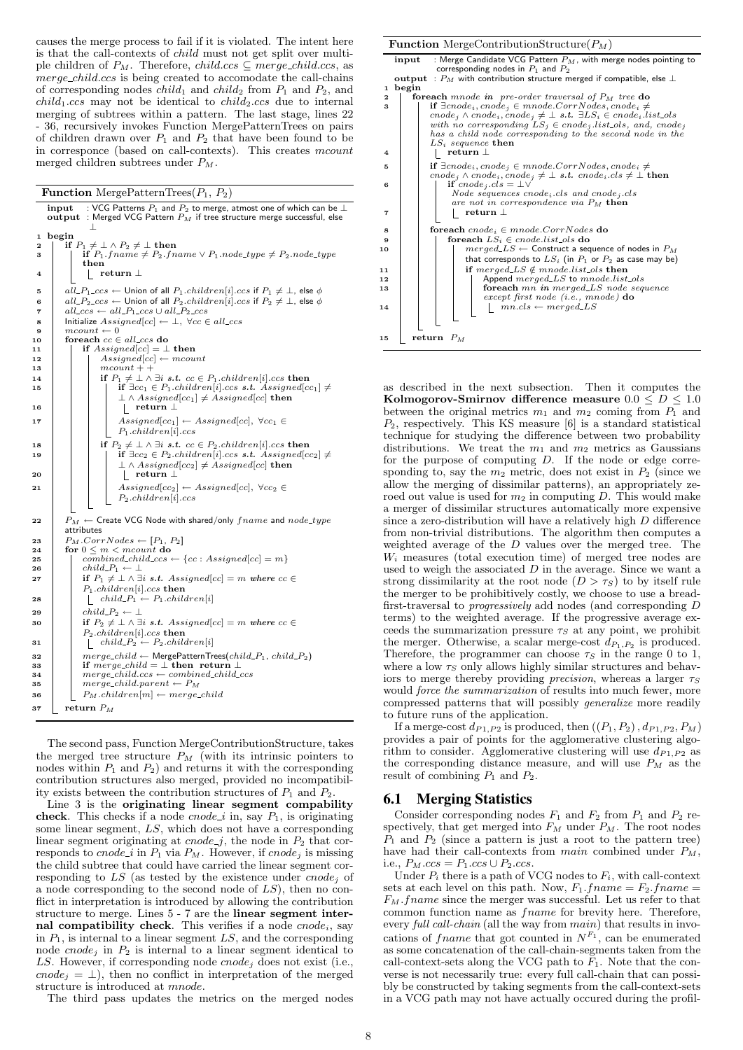causes the merge process to fail if it is violated. The intent here is that the call-contexts of child must not get split over multiple children of  $P_M$ . Therefore, *child.ccs*  $\subseteq$  *merge\_child.ccs*, as merge\_child.ccs is being created to accomodate the call-chains of corresponding nodes *child*<sub>1</sub> and *child*<sub>2</sub> from  $P_1$  and  $P_2$ , and  $child_1.ccs$  may not be identical to  $child_2.ccs$  due to internal merging of subtrees within a pattern. The last stage, lines 22 - 36, recursively invokes Function MergePatternTrees on pairs of children drawn over  $P_1$  and  $P_2$  that have been found to be in corresponce (based on call-contexts). This creates mcount merged children subtrees under  $P_M$ .

|  | <b>Function</b> MergePatternTrees $(P_1, P_2)$ |  |  |
|--|------------------------------------------------|--|--|
|--|------------------------------------------------|--|--|

input : VCG Patterns  $P_1$  and  $P_2$  to merge, atmost one of which can be  $\bot$ output : Merged VCG Pattern  $P_M$  if tree structure merge successful, else ⊥ 1 begin<br>2 | if  $P_1$ 2 if  $P_1 \neq \perp \wedge P_2 \neq \perp$  then<br>3 if  $P_1$  frame  $\neq P_2$  fn  $\text{if } P_1 \text{.frame} \neq P_2 \text{.frame} \lor P_1 \text{.node\_type} \neq P_2 \text{.node\_type}$ then 4 | | <u>|</u> return ⊥ 5 all  $PL_{1\_ccs}$  ← Union of all  $P_1$ .children[i].ccs if  $P_1 \neq \bot$ , else  $\phi$ 6 all  $P_2$  ccs ← Union of all  $P_2$  children[i] ccs if  $P_2 \neq \bot$ , else  $\phi$ <br>
7 all ccs ← all  $P_1$  ccs ∪ all  $P_2$  ccs 8 | Initialize  $Assigned [cc] \leftarrow \bot, \ \forall cc \in all\_ccs$ 9  $\vert$  mcount  $\leftarrow 0$ <br>10 for each  $cc \in$ 10 foreach  $cc \in all\_ccs$  do<br>
11 if  $Assigned[cc] = \perp$ 11 if  $Assigned[cc] = \perp$  then<br>12 if  $Assigned[cc] \leftarrow mcou$ 12  $\begin{array}{|c|c|c|}\n\hline\n & \text{A} \text{ssigned}[\text{cc}] \leftarrow \text{mcount} \\
 & \text{mcount}++\n\end{array}$ mcount + +<br>if  $P_1 \neq \perp \wedge$ 14 if  $P_1 \neq \bot \land \exists i \ s.t. \ cc \in P_1 \text{.children}[i] \text{.} \text{ccs} \text{.}$  then<br>
15 if  $\exists cc_1 \in P_1 \text{.children}[i] \text{.} \text{ccs} \text{.} t.$  Assigned[cc<sub>1</sub>]  $\neq$  $\perp \wedge Assigned[cc_1] \ne \overline{Assigned}[cc]$  then 16 | | | | | | return ⊥ 17 | | |  $Assigned [cc_1] \leftarrow Associated [cc], \forall cc_1 \in$  $P_1$ .children[i].ccs 18 if  $P_2 \neq \bot \land \exists i \ s.t. \ cc \in P_2 \text{.children}[i] \text{.} ccs \ then$ <br>
19 if  $\exists cc_2 \in P_2 \text{.children}[i] \text{.} ccs \ s.t. \text{.} Assigned[cc_2] \neq \bot \text{.}$  $\perp \wedge Assigned[cc] \ne \overline{Associated}[cc]$  then  $20$  | | | |  $\uparrow$  return  $\perp$ 21 Assigned[cc<sub>2</sub>] ← Assigned[cc],  $\forall cc_2 \in$  $\mathcal{P}_2.\mathit{children}[i].ccs$ 22  $\boxed{P_M \leftarrow \text{Create VCG Node with shared/only } \text{frame and node\_type}$ attributes 23  $P_M.CorrNodes \leftarrow [P_1, P_2]$ 24 for  $0 \leq m < m$ count do 25  $\boxed{\qquad}$  combined\_child\_ccs  $\leftarrow \{cc: Assigned[cc] = m\}$ 26 child  $P_1 \leftarrow \perp$ 27 if  $P_1 \neq \perp \wedge \exists i \; s.t. \; Assigned[cc] = m \; where \; cc \in$  $\begin{array}{|c|c|c|c|}\n \hline\n & P_1 {\mathit{.} child}{} \end{array} \begin{array}{|c|c|c|c|}\n \hline\n \multicolumn{1}{|c|}{chil} {\mathit{d}}{} \multicolumn{1}{|c|}{chil} \multicolumn{1}{|c|}{Chil} \multicolumn{1}{|c|}{Chil} \multicolumn{1}{|c|}{Chil} \multicolumn{1}{|c|}{Chil} \multicolumn{1}{|c|}{Chil} \multicolumn{1}{|c|}{Chil} \multicolumn{1}{|c|}{Chil} \multicolumn{1}{|c|}{Chil} \multicolumn{1}{|c|}{Chil}$ 29 child  $P_2 \leftarrow \perp$ <br>30 if  $P_2 \neq \perp \wedge \exists$  $\text{if } P_2 \neq \bot \land \exists i \text{ s.t. } \text{Assigned}[cc] = m \text{ where } cc \in \mathcal{C}$ P2.children[i].ccs then 31  $\left| \begin{array}{c} \end{array} \right|$  child  $P_2 \leftarrow P_2$ .children[i] 32 merge\_child ← MergePatternTrees(child\_P<sub>1</sub>, child\_P<sub>2</sub>)<br>33 **if** merge\_child =  $\perp$  then return  $\perp$  $34$  merge\_child.ccs ← combined\_child\_ccs 35 merge\_child.parent  $\leftarrow P_M$ 36  $P_M$ .children $[m] \leftarrow merge\_child$  $37$  return  $P_M$ 

The second pass, Function MergeContributionStructure, takes the merged tree structure  $P_M$  (with its intrinsic pointers to nodes within  $P_1$  and  $P_2$ ) and returns it with the corresponding contribution structures also merged, provided no incompatibility exists between the contribution structures of  $P_1$  and  $P_2$ .

Line 3 is the originating linear segment compability check. This checks if a node *cnode\_i* in, say  $P_1$ , is originating some linear segment, LS, which does not have a corresponding linear segment originating at  $\text{cnode}_j$ , the node in  $P_2$  that corresponds to cnode i in  $P_1$  via  $P_M$ . However, if cnode<sub>j</sub> is missing the child subtree that could have carried the linear segment corresponding to  $LS$  (as tested by the existence under cnode<sub>i</sub> of a node corresponding to the second node of LS), then no conflict in interpretation is introduced by allowing the contribution structure to merge. Lines 5 - 7 are the linear segment internal compatibility check. This verifies if a node  $\text{cnode}_i$ , say in  $P_1$ , is internal to a linear segment  $LS$ , and the corresponding node cnode<sub>j</sub> in  $P_2$  is internal to a linear segment identical to LS. However, if corresponding node  $\mathit{cnode}_i$  does not exist (i.e., cnode<sub>j</sub> =  $\perp$ ), then no conflict in interpretation of the merged structure is introduced at mnode.

The third pass updates the metrics on the merged nodes

**Function** MergeContributionStructure $(P_M)$  $\text{input}$  : Merge Candidate VCG Pattern  $P_M$ , with merge nodes pointing to corresponding nodes in  $P_1$  and  $P_2$ output :  $P_M$  with contribution structure merged if compatible, else  $\bot$ 1 begin **Solution Solution Example in**  $\iota$  **pre-order traversal of**  $P_M$  **tree do**<br> **if**  $\exists$ cnode<sub>i</sub>, cnode<sub>j</sub>  $\in$  mnode. CorrNodes, cnode<sub>i</sub>  $\neq$ <br>
cnode<sub>j</sub>  $\wedge$  cnode<sub>i</sub>, cnode<sub>j</sub>  $\neq$  **L**s.t.  $\exists L S_i \in \text{code}_i$ . itst.ols<br>  $LS_i$  sequence then 4 return ⊥ 5
if  $\exists conode_i, conode_j \in monode.CorrNodes, conode_i \neq \n conde_j \land conde_j, conode_j \neq \bot s.t. conode_i.class \neq \bot \n then \n}$ if cnode<sub>j</sub>.cls = ⊥∨ Node sequences cnodei.cls and cnode<sup>j</sup> .cls are not in correspondence via  $P_M$  then  $7$  | | | | return  $\perp$ 8 foreach  $cnode_i \in mode.CorrNodes$ <br>
9 foreach  $LS_i \in encode.list\_ols$  do <sup>10</sup> merged LS ← Construct a sequence of nodes in P<sup>M</sup> that corresponds to  $LS_i$  (in  $P_1$  or  $P_2$  as case may be) 11 if merged LS  $\notin$  mnode.list\_ols then<br>  $\downarrow$  Append merged LS to mnode list Append  $merged\_LS$  to  $mnode.list\_ols$ 13 **foreach** mn in merged LS node sequence<br>except first node (i.e., mnode) **do** 14  $\vert \vert \vert \vert \vert \vert \vert$  mn.cls ← merged\_LS 15 return  $P_M$ 

as described in the next subsection. Then it computes the Kolmogorov-Smirnov difference measure  $0.0 \le D \le 1.0$ between the original metrics  $m_1$  and  $m_2$  coming from  $P_1$  and  $P_2$ , respectively. This KS measure [6] is a standard statistical technique for studying the difference between two probability distributions. We treat the  $m_1$  and  $m_2$  metrics as Gaussians for the purpose of computing D. If the node or edge corresponding to, say the  $m_2$  metric, does not exist in  $P_2$  (since we allow the merging of dissimilar patterns), an appropriately zeroed out value is used for  $m_2$  in computing D. This would make a merger of dissimilar structures automatically more expensive since a zero-distribution will have a relatively high D difference from non-trivial distributions. The algorithm then computes a weighted average of the D values over the merged tree. The  $W<sub>i</sub>$  measures (total execution time) of merged tree nodes are used to weigh the associated  $D$  in the average. Since we want a strong dissimilarity at the root node  $(D > \tau_s)$  to by itself rule the merger to be prohibitively costly, we choose to use a breadfirst-traversal to progressively add nodes (and corresponding D terms) to the weighted average. If the progressive average exceeds the summarization pressure  $\tau<sub>S</sub>$  at any point, we prohibit the merger. Otherwise, a scalar merge-cost  $d_{P_1,P_2}$  is produced. Therefore, the programmer can choose  $\tau_S$  in the range 0 to 1, where a low  $\tau_s$  only allows highly similar structures and behaviors to merge thereby providing *precision*, whereas a larger  $\tau_S$ would *force the summarization* of results into much fewer, more compressed patterns that will possibly generalize more readily to future runs of the application.

If a merge-cost  $d_{P_1,P_2}$  is produced, then  $((P_1, P_2), d_{P_1,P_2}, P_M)$ provides a pair of points for the agglomerative clustering algorithm to consider. Agglomerative clustering will use  $d_{P_1,P_2}$  as the corresponding distance measure, and will use  $P_M$  as the result of combining  $P_1$  and  $P_2$ .

## 6.1 Merging Statistics

Consider corresponding nodes  $F_1$  and  $F_2$  from  $P_1$  and  $P_2$  respectively, that get merged into  $F_M$  under  $P_M$ . The root nodes  $P_1$  and  $P_2$  (since a pattern is just a root to the pattern tree) have had their call-contexts from main combined under  $P_M$ , i.e.,  $P_M.ccs = P_1.ccs \cup P_2.ccs$ .

Under  $P_i$  there is a path of VCG nodes to  $F_i$ , with call-context sets at each level on this path. Now,  $F_1$ . frame =  $F_2$ . frame =  $F_M$ . frame since the merger was successful. Let us refer to that common function name as fname for brevity here. Therefore, every full call-chain (all the way from main) that results in invocations of frame that got counted in  $N^{F_1}$ , can be enumerated as some concatenation of the call-chain-segments taken from the call-context-sets along the VCG path to  $\bar{F}_1$ . Note that the converse is not necessarily true: every full call-chain that can possibly be constructed by taking segments from the call-context-sets in a VCG path may not have actually occured during the profil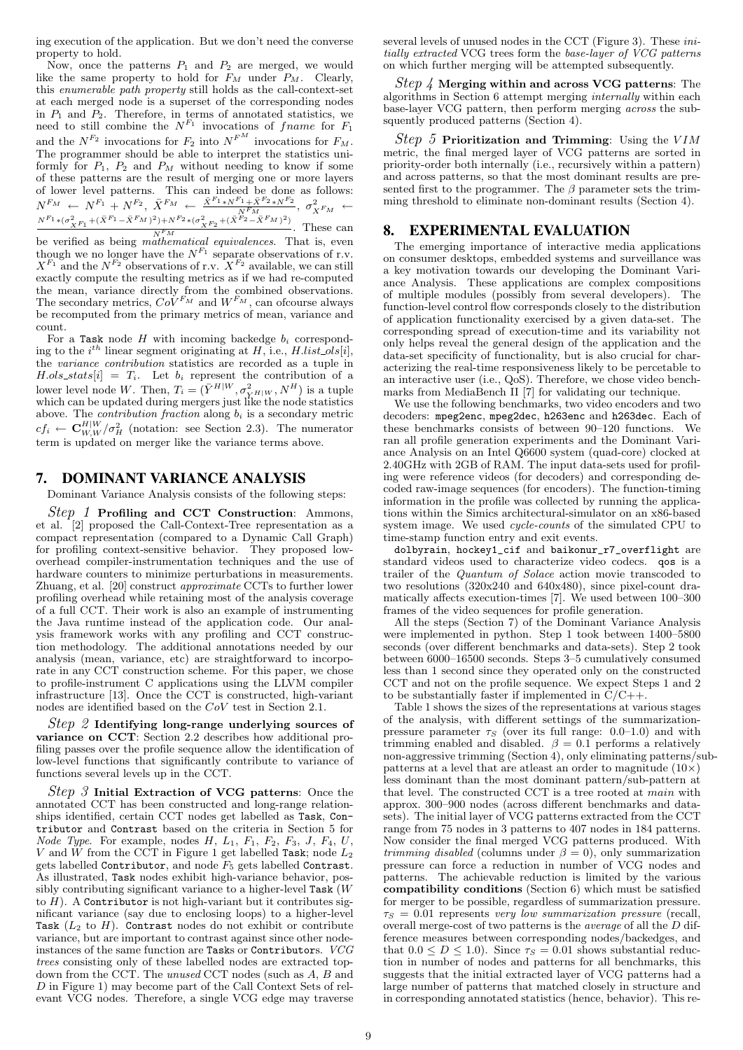ing execution of the application. But we don't need the converse property to hold.

Now, once the patterns  $P_1$  and  $P_2$  are merged, we would like the same property to hold for  $F_M$  under  $P_M$ . Clearly, this enumerable path property still holds as the call-context-set at each merged node is a superset of the corresponding nodes in  $P_1$  and  $P_2$ . Therefore, in terms of annotated statistics, we need to still combine the  $N^{F_1}$  invocations of frame for  $F_1$ and the  $N^{F_2}$  invocations for  $F_2$  into  $N^{F^M}$  invocations for  $F_M$ . The programmer should be able to interpret the statistics uniformly for  $P_1$ ,  $P_2$  and  $P_M$  without needing to know if some of these patterns are the result of merging one or more layers of lower level patterns. This can indeed be done as follows:  $N^{F_M} \leftarrow N^{F_1} + N^{F_2}, \ \bar{X}^{F_M} \leftarrow \frac{\bar{X}^{F_1} * N^{F_1} + \bar{X}^{F_2} * N^{F_2}}{N^{F_M}}, \ \sigma_{\bar{X}^{F_M}}^2 \leftarrow \frac{N^{F_1} * (\sigma_{\bar{X}^{F_1}}^2 + (\bar{X}^{F_1} - \bar{X}^{F_M})^2) + N^{F_2} * (\sigma_{\bar{X}^{F_2}}^2 + (\bar{X}^{F_2} - \bar{X}^{F_M})^2)}{N^{F_2} + (\bar{X}^{F_2} - \bar{X}^{F_M})^$  $\frac{N^F M}{N^F M}$ . These can

be verified as being *mathematical equivalences*. That is, even though we no longer have the  $N^{F_1}$  separate observations of r.v.  $X^{F_1}$  and the  $N^{F_2}$  observations of r.v.  $X^{F_2}$  available, we can still exactly compute the resulting metrics as if we had re-computed the mean, variance directly from the combined observations. The secondary metrics,  $Co\check{V}^{F_M}$  and  $W^{F_M}$ , can ofcourse always be recomputed from the primary metrics of mean, variance and count.

For a Task node  $H$  with incoming backedge  $b_i$  corresponding to the  $i^{th}$  linear segment originating at H, i.e., H.list<sub>ill</sub>, the variance contribution statistics are recorded as a tuple in  $H.ols\_stats[i] = T_i$ . Let  $b_i$  represent the contribution of a lower level node W. Then,  $T_i = (\bar{Y}^{H|W}, \sigma_{Y^H|W}^2, N^H)$  is a tuple which can be updated during mergers just like the node statistics above. The *contribution fraction* along  $b_i$  is a secondary metric  $cf_i \leftarrow \mathbf{C}_{W,W}^{H|W}/\sigma_H^2$  (notation: see Section 2.3). The numerator term is updated on merger like the variance terms above.

## 7. DOMINANT VARIANCE ANALYSIS

Dominant Variance Analysis consists of the following steps:

Step 1 Profiling and CCT Construction: Ammons, et al. [2] proposed the Call-Context-Tree representation as a compact representation (compared to a Dynamic Call Graph) for profiling context-sensitive behavior. They proposed lowoverhead compiler-instrumentation techniques and the use of hardware counters to minimize perturbations in measurements. Zhuang, et al. [20] construct approximate CCTs to further lower profiling overhead while retaining most of the analysis coverage of a full CCT. Their work is also an example of instrumenting the Java runtime instead of the application code. Our analysis framework works with any profiling and CCT construction methodology. The additional annotations needed by our analysis (mean, variance, etc) are straightforward to incorporate in any CCT construction scheme. For this paper, we chose to profile-instrument C applications using the LLVM compiler infrastructure [13]. Once the CCT is constructed, high-variant nodes are identified based on the CoV test in Section 2.1.

 $Step 2$  Identifying long-range underlying sources of variance on CCT: Section 2.2 describes how additional profiling passes over the profile sequence allow the identification of low-level functions that significantly contribute to variance of functions several levels up in the CCT.

 $Step 3$  Initial Extraction of VCG patterns: Once the annotated CCT has been constructed and long-range relationships identified, certain CCT nodes get labelled as Task, Contributor and Contrast based on the criteria in Section 5 for Node Type. For example, nodes  $H$ ,  $L_1$ ,  $F_1$ ,  $F_2$ ,  $F_3$ ,  $J$ ,  $F_4$ ,  $U$ , V and W from the CCT in Figure 1 get labelled Task; node  $L_2$ gets labelled Contributor, and node  $F_5$  gets labelled Contrast. As illustrated, Task nodes exhibit high-variance behavior, possibly contributing significant variance to a higher-level Task (W to  $H$ ). A Contributor is not high-variant but it contributes significant variance (say due to enclosing loops) to a higher-level Task  $(L_2$  to H). Contrast nodes do not exhibit or contribute variance, but are important to contrast against since other nodeinstances of the same function are Tasks or Contributors. VCG trees consisting only of these labelled nodes are extracted topdown from the CCT. The unused CCT nodes (such as A, B and D in Figure 1) may become part of the Call Context Sets of relevant VCG nodes. Therefore, a single VCG edge may traverse several levels of unused nodes in the CCT (Figure 3). These *ini*tially extracted VCG trees form the base-layer of VCG patterns on which further merging will be attempted subsequently.

*Step 4* Merging within and across VCG patterns: The algorithms in Section 6 attempt merging internally within each base-layer VCG pattern, then perform merging across the subsquently produced patterns (Section 4).

Step 5 Prioritization and Trimming: Using the  $VIM$ metric, the final merged layer of VCG patterns are sorted in priority-order both internally (i.e., recursively within a pattern) and across patterns, so that the most dominant results are presented first to the programmer. The  $\beta$  parameter sets the trimming threshold to eliminate non-dominant results (Section 4).

## 8. EXPERIMENTAL EVALUATION

The emerging importance of interactive media applications on consumer desktops, embedded systems and surveillance was a key motivation towards our developing the Dominant Variance Analysis. These applications are complex compositions of multiple modules (possibly from several developers). The function-level control flow corresponds closely to the distribution of application functionality exercised by a given data-set. The corresponding spread of execution-time and its variability not only helps reveal the general design of the application and the data-set specificity of functionality, but is also crucial for characterizing the real-time responsiveness likely to be percetable to an interactive user (i.e., QoS). Therefore, we chose video benchmarks from MediaBench II [7] for validating our technique.

We use the following benchmarks, two video encoders and two decoders: mpeg2enc, mpeg2dec, h263enc and h263dec. Each of these benchmarks consists of between 90–120 functions. We ran all profile generation experiments and the Dominant Variance Analysis on an Intel Q6600 system (quad-core) clocked at 2.40GHz with 2GB of RAM. The input data-sets used for profiling were reference videos (for decoders) and corresponding decoded raw-image sequences (for encoders). The function-timing information in the profile was collected by running the applications within the Simics architectural-simulator on an x86-based system image. We used cycle-counts of the simulated CPU to time-stamp function entry and exit events.

dolbyrain, hockey1\_cif and baikonur\_r7\_overflight are standard videos used to characterize video codecs. qos is a trailer of the Quantum of Solace action movie transcoded to two resolutions (320x240 and 640x480), since pixel-count dramatically affects execution-times [7]. We used between 100–300 frames of the video sequences for profile generation.

All the steps (Section 7) of the Dominant Variance Analysis were implemented in python. Step 1 took between 1400–5800 seconds (over different benchmarks and data-sets). Step 2 took between 6000–16500 seconds. Steps 3–5 cumulatively consumed less than 1 second since they operated only on the constructed CCT and not on the profile sequence. We expect Steps 1 and 2 to be substantially faster if implemented in  $C/C++$ .

Table 1 shows the sizes of the representations at various stages of the analysis, with different settings of the summarizationpressure parameter  $\tau_s$  (over its full range: 0.0–1.0) and with trimming enabled and disabled.  $\beta = 0.1$  performs a relatively non-aggressive trimming (Section 4), only eliminating patterns/subpatterns at a level that are at least an order to magnitude  $(10\times)$ less dominant than the most dominant pattern/sub-pattern at that level. The constructed CCT is a tree rooted at main with approx. 300–900 nodes (across different benchmarks and datasets). The initial layer of VCG patterns extracted from the CCT range from 75 nodes in 3 patterns to 407 nodes in 184 patterns. Now consider the final merged VCG patterns produced. With *trimming disabled* (columns under  $\beta = 0$ ), only summarization pressure can force a reduction in number of VCG nodes and patterns. The achievable reduction is limited by the various compatibility conditions (Section 6) which must be satisfied for merger to be possible, regardless of summarization pressure.  $\tau_S = 0.01$  represents very low summarization pressure (recall, overall merge-cost of two patterns is the average of all the D difference measures between corresponding nodes/backedges, and that  $0.0 \leq D \leq 1.0$ . Since  $\tau_s = 0.01$  shows substantial reduction in number of nodes and patterns for all benchmarks, this suggests that the initial extracted layer of VCG patterns had a large number of patterns that matched closely in structure and in corresponding annotated statistics (hence, behavior). This re-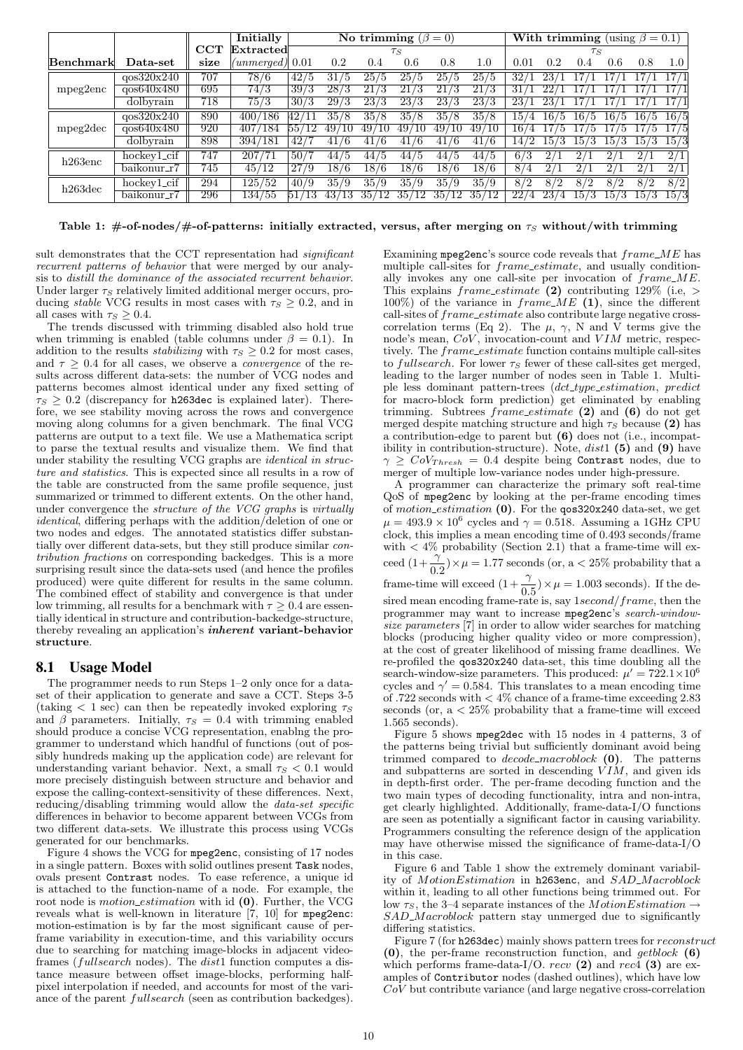|            |               |      | Initially         | No trimming $(\beta = 0)$ |           |                   |                   |            | <b>With trimming</b> (using $\beta = 0.1$ ) |      |     |                 |      |      |              |
|------------|---------------|------|-------------------|---------------------------|-----------|-------------------|-------------------|------------|---------------------------------------------|------|-----|-----------------|------|------|--------------|
|            |               | CCT  | Extracted         |                           |           |                   | $\tau_S$          |            |                                             |      |     | $\tau_S$        |      |      |              |
| Benchmark  | Data-set      | size | $(unmerged)$ 0.01 |                           | 0.2       | 0.4               | 0.6               | 0.8        | 1.0                                         | 0.01 | 0.2 | (0.4)           | 0.6  | 0.8  | 1.0          |
| mpeg2enc   | qos320x240    | 707  | 78/6              | 42/5                      | 31/5      | 25/5              | 25/5              | 25/5       | 25/5                                        | 32/  | 23/ |                 |      |      | 17/1         |
|            | qos640x480    | 695  | 74/3              | 39/3                      | 28/3      | 21/3              | 21/3              | 21/3       | /3<br>21                                    | -317 |     |                 |      |      |              |
|            | dolbyrain     | 718  | 75/3              | 30/3                      | 29/3      | $23\overline{73}$ | $23\overline{7}3$ | 23/3       | 23/3                                        | 23/  |     |                 |      |      | 17/1         |
| mpeg2dec   | qos320x240    | 890  | 400/186           | 42/1                      | 35/8      | 35/8              | 35/8              | 35/8       | 35/8                                        | 15/  |     | $16/5$ 16/5     | 16/5 | 16/5 | 16/5         |
|            | $q$ os640x480 | 920  | 407<br>7/184      | 55/12                     | 49,<br>10 | 49/10             | 49/               | 497<br>10  | 497<br>`10                                  | 167  | Ð   |                 |      |      | 17/5         |
|            | dolbyrain     | 898  | 394/181           | 42/                       | 41/6      | 41/6              | 41/6              | 41/6       | ./6<br>41                                   | 147  | 15/ | 15 <sup>7</sup> | 15.  | 15/  | 15/3         |
| $h263$ enc | hockey1_cif   | 747  | 207/71            | 50/7                      | 44/5      | 44/5              | 44/5              | 44/5       | 44/5                                        | 6/3  |     | 2 <sub>l</sub>  |      | 2/   | 2/1          |
|            | baikonur_r7   | 745  | 45/12             | 27/9                      | 18/6      | 18/6              | 18/6              | 18/6       | 18/6                                        | 8/4  |     |                 |      |      | 2/1          |
| $h263$ dec | $hockev1_c$   | 294  | 125/52            | 40/9                      | 35/9      | 35/9              | 35/9              | 35/9       | 35/9                                        | 8/2  | 8/2 | 8/2             | 8/2  | 8/2  | $\sqrt{8/2}$ |
|            | baikonur_r7   | 296  | 134/55            |                           |           | 35/12             | 35/               | 35/<br>'12 | 35/<br>′12                                  |      |     | 15              | 15   | 15/3 | 15/3         |

Table 1: #-of-nodes/#-of-patterns: initially extracted, versus, after merging on  $\tau_s$  without/with trimming

sult demonstrates that the CCT representation had *significant* recurrent patterns of behavior that were merged by our analysis to distill the dominance of the associated recurrent behavior. Under larger  $\tau_S$  relatively limited additional merger occurs, producing *stable* VCG results in most cases with  $\tau_s \geq 0.2$ , and in all cases with  $\tau_S \geq 0.4$ .

The trends discussed with trimming disabled also hold true when trimming is enabled (table columns under  $\beta = 0.1$ ). In addition to the results *stabilizing* with  $\tau_s \geq 0.2$  for most cases, and  $\tau \geq 0.4$  for all cases, we observe a *convergence* of the results across different data-sets: the number of VCG nodes and patterns becomes almost identical under any fixed setting of  $\tau_S > 0.2$  (discrepancy for h263dec is explained later). Therefore, we see stability moving across the rows and convergence moving along columns for a given benchmark. The final VCG patterns are output to a text file. We use a Mathematica script to parse the textual results and visualize them. We find that under stability the resulting VCG graphs are identical in structure and statistics. This is expected since all results in a row of the table are constructed from the same profile sequence, just summarized or trimmed to different extents. On the other hand, under convergence the structure of the VCG graphs is virtually identical, differing perhaps with the addition/deletion of one or two nodes and edges. The annotated statistics differ substantially over different data-sets, but they still produce similar contribution fractions on corresponding backedges. This is a more surprising result since the data-sets used (and hence the profiles produced) were quite different for results in the same column. The combined effect of stability and convergence is that under low trimming, all results for a benchmark with  $\tau \geq 0.4$  are essentially identical in structure and contribution-backedge-structure, thereby revealing an application's inherent variant-behavior structure.

## 8.1 Usage Model

The programmer needs to run Steps 1–2 only once for a dataset of their application to generate and save a CCT. Steps 3-5 (taking  $\lt 1$  sec) can then be repeatedly invoked exploring  $\tau_S$ and  $\beta$  parameters. Initially,  $\tau_s = 0.4$  with trimming enabled should produce a concise VCG representation, enablng the programmer to understand which handful of functions (out of possibly hundreds making up the application code) are relevant for understanding variant behavior. Next, a small  $\tau_s < 0.1$  would more precisely distinguish between structure and behavior and expose the calling-context-sensitivity of these differences. Next, reducing/disabling trimming would allow the data-set specific differences in behavior to become apparent between VCGs from two different data-sets. We illustrate this process using VCGs generated for our benchmarks.

Figure 4 shows the VCG for mpeg2enc, consisting of 17 nodes in a single pattern. Boxes with solid outlines present Task nodes, ovals present Contrast nodes. To ease reference, a unique id is attached to the function-name of a node. For example, the root node is *motion\_estimation* with id (0). Further, the VCG reveals what is well-known in literature [7, 10] for mpeg2enc: motion-estimation is by far the most significant cause of perframe variability in execution-time, and this variability occurs due to searching for matching image-blocks in adjacent videoframes (fullsearch nodes). The dist1 function computes a distance measure between offset image-blocks, performing halfpixel interpolation if needed, and accounts for most of the variance of the parent fullsearch (seen as contribution backedges). Examining mpeg2enc's source code reveals that  $frame\_ME$  has multiple call-sites for frame estimate, and usually conditionally invokes any one call-site per invocation of frame ME. This explains  $frame\_estimate$  (2) contributing 129% (i.e, > 100%) of the variance in  $frame\_ME$  (1), since the different call-sites of  $frame\_estimate$  also contribute large negative crosscorrelation terms (Eq 2). The  $\mu$ ,  $\gamma$ , N and V terms give the node's mean,  $CoV$ , invocation-count and  $VIM$  metric, respectively. The *frame\_estimate* function contains multiple call-sites to fullsearch. For lower  $\tau_S$  fewer of these call-sites get merged, leading to the larger number of nodes seen in Table 1. Multiple less dominant pattern-trees (dct\_type\_estimation, predict for macro-block form prediction) get eliminated by enabling trimming. Subtrees  $frame\_estimate$  (2) and (6) do not get merged despite matching structure and high  $\tau_s$  because (2) has a contribution-edge to parent but (6) does not (i.e., incompatibility in contribution-structure). Note,  $dist1(5)$  and (9) have  $\gamma \geq \text{CoV}_{Thresh} = 0.4$  despite being Contrast nodes, due to merger of multiple low-variance nodes under high-pressure.

A programmer can characterize the primary soft real-time QoS of mpeg2enc by looking at the per-frame encoding times of motion estimation (0). For the qos320x240 data-set, we get  $\mu = 493.9 \times 10^6$  cycles and  $\gamma = 0.518$ . Assuming a 1GHz CPU clock, this implies a mean encoding time of 0.493 seconds/frame with  $\langle 4\%$  probability (Section 2.1) that a frame-time will exceed  $(1 + \frac{\gamma}{0.2}) \times \mu = 1.77$  seconds (or, a  $\langle 25\%$  probability that a frame-time will exceed  $(1 + \frac{\gamma}{0.5}) \times \mu = 1.003$  seconds). If the de-

sired mean encoding frame-rate is, say  $1 second/frame$ , then the programmer may want to increase mpeg2enc's search-windowsize parameters [7] in order to allow wider searches for matching blocks (producing higher quality video or more compression), at the cost of greater likelihood of missing frame deadlines. We re-profiled the qos320x240 data-set, this time doubling all the search-window-size parameters. This produced:  $\mu' = 722.1 \times 10^6$ cycles and  $\gamma' = 0.584$ . This translates to a mean encoding time of .722 seconds with  $< 4\%$  chance of a frame-time exceeding 2.83 seconds (or,  $a < 25\%$  probability that a frame-time will exceed 1.565 seconds).

Figure 5 shows mpeg2dec with 15 nodes in 4 patterns, 3 of the patterns being trivial but sufficiently dominant avoid being trimmed compared to *decode\_macroblock*  $(0)$ . The patterns and subpatterns are sorted in descending  $\hat{V} \hat{I} \hat{M}$ , and given ids in depth-first order. The per-frame decoding function and the two main types of decoding functionality, intra and non-intra, get clearly highlighted. Additionally, frame-data-I/O functions are seen as potentially a significant factor in causing variability. Programmers consulting the reference design of the application may have otherwise missed the significance of frame-data-I/O in this case.

Figure 6 and Table 1 show the extremely dominant variability of MotionEstimation in h263enc, and SAD\_Macroblock within it, leading to all other functions being trimmed out. For low  $\tau_s$ , the 3–4 separate instances of the *MotionEstimation*  $\rightarrow$ SAD\_Macroblock pattern stay unmerged due to significantly differing statistics.

Figure 7 (for h263dec) mainly shows pattern trees for reconstruct  $(0)$ , the per-frame reconstruction function, and *getblock*  $(6)$ which performs frame-data-I/O.  $recv(2)$  and  $rec4(3)$  are examples of Contributor nodes (dashed outlines), which have low CoV but contribute variance (and large negative cross-correlation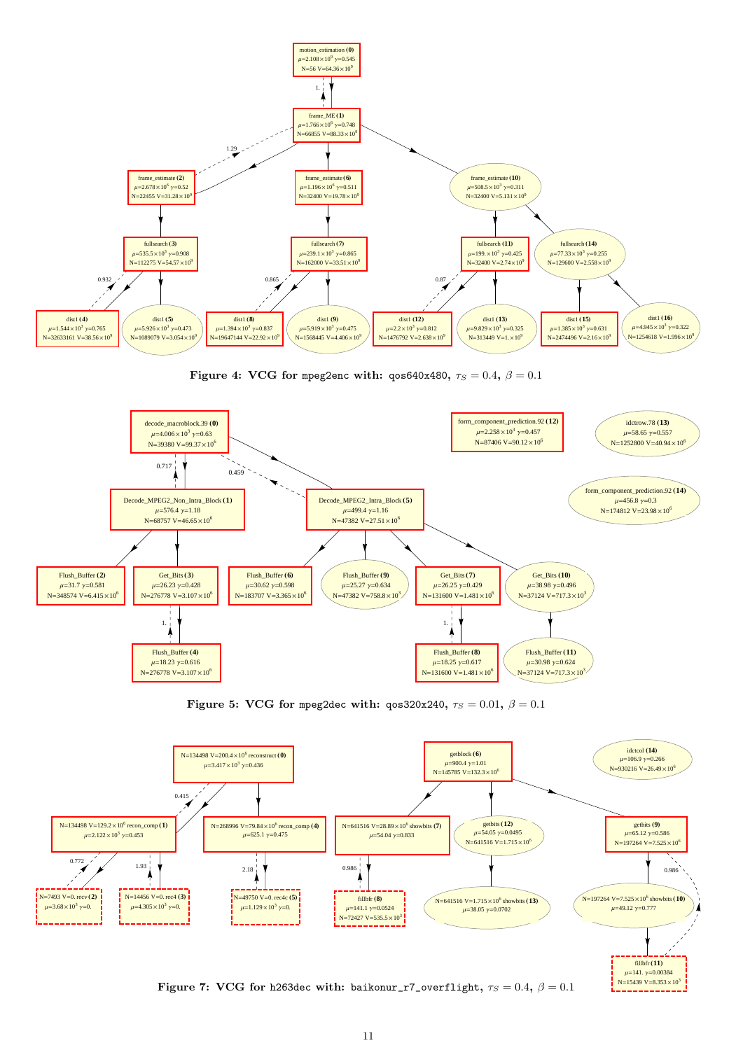

Figure 4: VCG for mpeg2enc with:  $q \cos 640x480$ ,  $\tau_S = 0.4$ ,  $\beta = 0.1$ 



Figure 5: VCG for mpeg2dec with:  $q \cos 320x240$ ,  $\tau_S = 0.01$ ,  $\beta = 0.1$ 



Figure 7: VCG for h263dec with: baikonur\_r7\_overflight,  $\tau_S = 0.4$ ,  $\beta = 0.1$